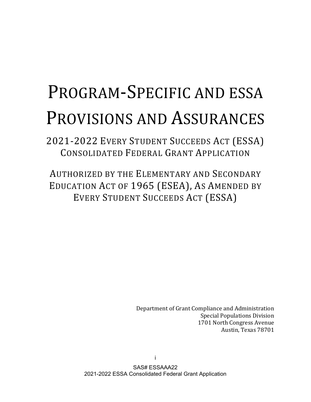# PROGRAM-SPECIFIC AND ESSA PROVISIONS AND ASSURANCES

2021-2022 EVERY STUDENT SUCCEEDS ACT (ESSA) CONSOLIDATED FEDERAL GRANT APPLICATION

AUTHORIZED BY THE ELEMENTARY AND SECONDARY EDUCATION ACT OF 1965 (ESEA), AS AMENDED BY EVERY STUDENT SUCCEEDS ACT (ESSA)

> Department of Grant Compliance and Administration Special Populations Division 1701 North Congress Avenue Austin, Texas 78701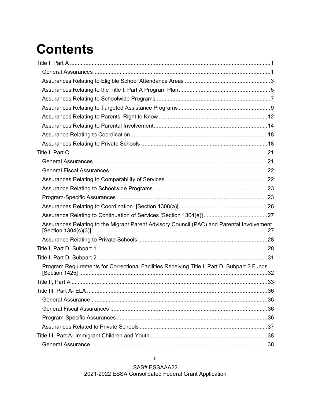# **Contents**

| Assurances Relating to the Migrant Parent Advisory Council (PAC) and Parental Involvement   |  |
|---------------------------------------------------------------------------------------------|--|
|                                                                                             |  |
|                                                                                             |  |
|                                                                                             |  |
| Program Requirements for Correctional Facilities Receiving Title I, Part D, Subpart 2 Funds |  |
|                                                                                             |  |
|                                                                                             |  |
|                                                                                             |  |
|                                                                                             |  |
|                                                                                             |  |
|                                                                                             |  |
|                                                                                             |  |
|                                                                                             |  |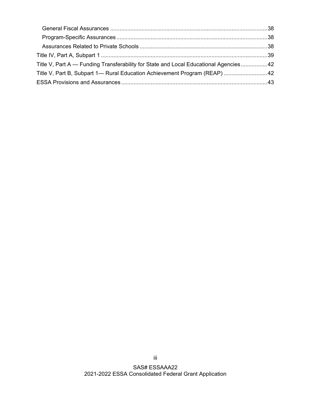| Title V, Part A — Funding Transferability for State and Local Educational Agencies 42 |  |
|---------------------------------------------------------------------------------------|--|
| Title V, Part B, Subpart 1— Rural Education Achievement Program (REAP) 42             |  |
|                                                                                       |  |
|                                                                                       |  |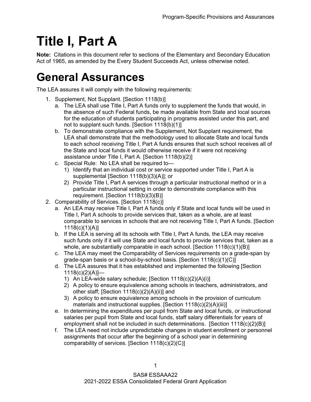# <span id="page-3-0"></span>**Title I, Part A**

**Note:** Citations in this document refer to sections of the Elementary and Secondary Education Act of 1965, as amended by the Every Student Succeeds Act, unless otherwise noted.

#### <span id="page-3-1"></span>**General Assurances**

The LEA assures it will comply with the following requirements:

- 1. Supplement, Not Supplant. [Section 1118(b)]
	- a. The LEA shall use Title I, Part A funds only to supplement the funds that would, in the absence of such Federal funds, be made available from State and local sources for the education of students participating in programs assisted under this part, and not to supplant such funds. [Section 1118(b)(1)]
	- b. To demonstrate compliance with the Supplement, Not Supplant requirement, the LEA shall demonstrate that the methodology used to allocate State and local funds to each school receiving Title I, Part A funds ensures that such school receives all of the State and local funds it would otherwise receive if it were not receiving assistance under Title I, Part A. [Section 1118(b)(2)]
	- c. Special Rule: No LEA shall be required to—
		- 1) Identify that an individual cost or service supported under Title I, Part A is supplemental [Section 1118(b)(3)(A)]; or
		- 2) Provide Title I, Part A services through a particular instructional method or in a particular instructional setting in order to demonstrate compliance with this requirement. [Section 1118(b)(3)(B)]
- 2. Comparability of Services. [Section 1118(c)]
	- a. An LEA may receive Title I, Part A funds only if State and local funds will be used in Title I, Part A schools to provide services that, taken as a whole, are at least comparable to services in schools that are not receiving Title I, Part A funds. [Section 1118(c)(1)(A)]
	- b. If the LEA is serving all its schools with Title I, Part A funds, the LEA may receive such funds only if it will use State and local funds to provide services that, taken as a whole, are substantially comparable in each school. [Section 1118(c)(1)(B)]
	- c. The LEA may meet the Comparability of Services requirements on a grade-span by grade-span basis or a school-by-school basis. [Section 1118(c)(1)(C)]
	- d. The LEA assures that it has established and implemented the following [Section  $1118(c)(2)(A)$  —
		- 1) An LEA-wide salary schedule; [Section 1118(c)(2)(A)(i)]
		- 2) A policy to ensure equivalence among schools in teachers, administrators, and other staff; [Section 1118(c)(2)(A)(ii)] and
		- 3) A policy to ensure equivalence among schools in the provision of curriculum materials and instructional supplies. [Section 1118(c)(2)(A)(iii)]
	- e. In determining the expenditures per pupil from State and local funds, or instructional salaries per pupil from State and local funds, staff salary differentials for years of employment shall not be included in such determinations. [Section 1118(c)(2)(B)]
	- f. The LEA need not include unpredictable changes in student enrollment or personnel assignments that occur after the beginning of a school year in determining comparability of services. [Section 1118(c)(2)(C)]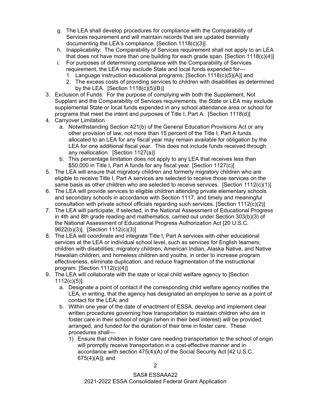- g. The LEA shall develop procedures for compliance with the Comparability of Services requirement and will maintain records that are updated biennially documenting the LEA's compliance. [Section 1118(c)(3)]
- h. Inapplicability: The Comparability of Services requirement shall not apply to an LEA that does not have more than one building for each grade span. [Section  $1118(c)(4)$ ]
- i. For purposes of determining compliance with the Comparability of Services requirement, the LEA may exclude State and local funds expended for—
	- 1. Language instruction educational programs; [Section 1118(c)(5)(A)] and
	- 2. The excess costs of providing services to children with disabilities as determined by the LEA. [Section  $1118(c)(5)(B)$ ]
- 3. Exclusion of Funds: For the purpose of complying with both the Supplement, Not Supplant and the Comparability of Services requirements, the State or LEA may exclude supplemental State or local funds expended in any school attendance area or school for programs that meet the intent and purposes of Title I, Part A. [Section 1118(d)]
- 4. Carryover Limitation
	- a. Notwithstanding Section 421(b) of the General Education Provisions Act or any other provision of law, not more than 15 percent of the Title I, Part A funds allocated to an LEA for any fiscal year may remain available for obligation by the LEA for one additional fiscal year. This does not include funds received through any reallocation. [Section 1127(a)]
	- b. This percentage limitation does not apply to any LEA that receives less than \$50,000 in Title I, Part A funds for any fiscal year. [Section 1127(c)]
- 5. The LEA will ensure that migratory children and formerly migratory children who are eligible to receive Title I, Part A services are selected to receive those services on the same basis as other children who are selected to receive services. [Section 1112(c)(1)]
- 6. The LEA will provide services to eligible children attending private elementary schools and secondary schools in accordance with Section 1117, and timely and meaningful consultation with private school officials regarding such services. [Section 1112(c)(2)]
- 7. The LEA will participate, if selected, in the National Assessment of Educational Progress in 4th and 8th grade reading and mathematics, carried out under Section 303(b)(3) of the National Assessment of Educational Progress Authorization Act [20 U.S.C. 9622(b)(3)]. [Section 1112(c)(3)]
- 8. The LEA will coordinate and integrate Title I, Part A services with other educational services at the LEA or individual school level, such as services for English learners; children with disabilities; migratory children; American Indian, Alaska Native, and Native Hawaiian children; and homeless children and youths, in order to increase program effectiveness, eliminate duplication, and reduce fragmentation of the instructional program. [Section 1112(c)(4)]
- 9. The LEA will collaborate with the state or local child welfare agency to [Section 1112(c)(5)]:
	- a. Designate a point of contact if the corresponding child welfare agency notifies the LEA, in writing, that the agency has designated an employee to serve as a point of contact for the LEA; and
	- b. Within one year of the date of enactment of ESSA, develop and implement clear written procedures governing how transportation to maintain children who are in foster care in their school of origin (when in their best interest) will be provided, arranged, and funded for the duration of their time in foster care. These procedures shall—
		- 1) Ensure that children in foster care needing transportation to the school of origin will promptly receive transportation in a cost-effective manner and in accordance with section 475(4)(A) of the Social Security Act [42 U.S.C. 675(4)(A)]; and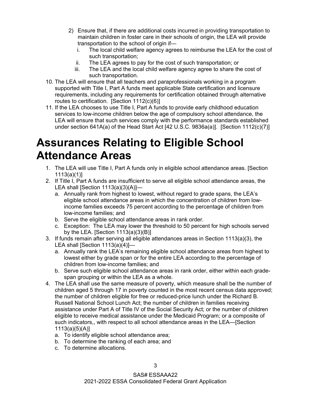- 2) Ensure that, if there are additional costs incurred in providing transportation to maintain children in foster care in their schools of origin, the LEA will provide transportation to the school of origin if
	- i. The local child welfare agency agrees to reimburse the LEA for the cost of such transportation;
	- ii. The LEA agrees to pay for the cost of such transportation; or
	- iii. The LEA and the local child welfare agency agree to share the cost of such transportation.
- 10. The LEA will ensure that all teachers and paraprofessionals working in a program supported with Title I, Part A funds meet applicable State certification and licensure requirements, including any requirements for certification obtained through alternative routes to certification. [Section 1112(c)(6)]
- 11. If the LEA chooses to use Title I, Part A funds to provide early childhood education services to low-income children below the age of compulsory school attendance, the LEA will ensure that such services comply with the performance standards established under section 641A(a) of the Head Start Act [42 U.S.C. 9836a(a)]. [Section 1112(c)(7)]

#### <span id="page-5-0"></span>**Assurances Relating to Eligible School Attendance Areas**

- 1. The LEA will use Title I, Part A funds only in eligible school attendance areas. [Section 1113(a)(1)]
- 2. If Title I, Part A funds are insufficient to serve all eligible school attendance areas, the LEA shall [Section  $1113(a)(3)(A)$ ]
	- a. Annually rank from highest to lowest, without regard to grade spans, the LEA's eligible school attendance areas in which the concentration of children from lowincome families exceeds 75 percent according to the percentage of children from low-income families; and
	- b. Serve the eligible school attendance areas in rank order.
	- c. Exception: The LEA may lower the threshold to 50 percent for high schools served by the LEA. [Section  $1113(a)(3)(B)$ ]
- 3. If funds remain after serving all eligible attendances areas in Section 1113(a)(3), the LEA shall [Section  $1113(a)(4)$ ]
	- a. Annually rank the LEA's remaining eligible school attendance areas from highest to lowest either by grade span or for the entire LEA according to the percentage of children from low-income families; and
	- b. Serve such eligible school attendance areas in rank order, either within each gradespan grouping or within the LEA as a whole.
- 4. The LEA shall use the same measure of poverty, which measure shall be the number of children aged 5 through 17 in poverty counted in the most recent census data approved; the number of children eligible for free or reduced-price lunch under the Richard B. Russell National School Lunch Act; the number of children in families receiving assistance under Part A of Title IV of the Social Security Act; or the number of children eligible to receive medical assistance under the Medicaid Program; or a composite of such indicators,, with respect to all school attendance areas in the LEA—[Section 1113(a)(5)(A)]
	- a. To identify eligible school attendance area;
	- b. To determine the ranking of each area; and
	- c. To determine allocations.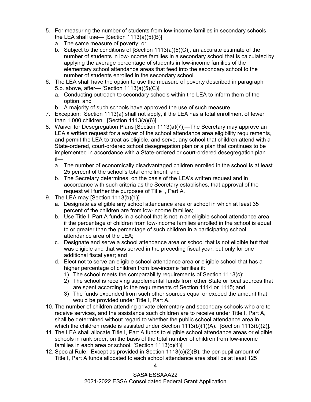- 5. For measuring the number of students from low-income families in secondary schools, the LEA shall use— [Section  $1113(a)(5)(B)$ ]
	- a. The same measure of poverty; or
	- b. Subject to the conditions of [Section 1113(a)(5)(C)], an accurate estimate of the number of students in low-income families in a secondary school that is calculated by applying the average percentage of students in low-income families of the elementary school attendance areas that feed into the secondary school to the number of students enrolled in the secondary school.
- 6. The LEA shall have the option to use the measure of poverty described in paragraph 5.b. above, after— [Section 1113(a)(5)(C)]
	- a. Conducting outreach to secondary schools within the LEA to inform them of the option, and
	- b. A majority of such schools have approved the use of such measure.
- 7. Exception: Section 1113(a) shall not apply, if the LEA has a total enrollment of fewer than 1,000 children. [Section  $1113(a)(6)$ ]
- 8. Waiver for Desegregation Plans [Section 1113(a)(7)]—The Secretary may approve an LEA's written request for a waiver of the school attendance area eligibility requirements, and permit the LEA to treat as eligible, and serve, any school that children attend with a State-ordered, court-ordered school desegregation plan or a plan that continues to be implemented in accordance with a State-ordered or court-ordered desegregation plan if
	- a. The number of economically disadvantaged children enrolled in the school is at least 25 percent of the school's total enrollment; and
	- b. The Secretary determines, on the basis of the LEA's written request and in accordance with such criteria as the Secretary establishes, that approval of the request will further the purposes of Title I, Part A.
- 9. The LEA may [Section 1113(b)(1)]
	- a. Designate as eligible any school attendance area or school in which at least 35 percent of the children are from low-income families;
	- b. Use Title I, Part A funds in a school that is not in an eligible school attendance area, if the percentage of children from low-income families enrolled in the school is equal to or greater than the percentage of such children in a participating school attendance area of the LEA;
	- c. Designate and serve a school attendance area or school that is not eligible but that was eligible and that was served in the preceding fiscal year, but only for one additional fiscal year; and
	- d. Elect not to serve an eligible school attendance area or eligible school that has a higher percentage of children from low-income families if:
		- 1) The school meets the comparability requirements of Section 1118(c);
		- 2) The school is receiving supplemental funds from other State or local sources that are spent according to the requirements of Section 1114 or 1115; and
		- 3) The funds expended from such other sources equal or exceed the amount that would be provided under Title I, Part A.
- 10. The number of children attending private elementary and secondary schools who are to receive services, and the assistance such children are to receive under Title I, Part A, shall be determined without regard to whether the public school attendance area in which the children reside is assisted under Section  $1113(b)(1)(A)$ . [Section  $1113(b)(2)$ ].
- 11. The LEA shall allocate Title I, Part A funds to eligible school attendance areas or eligible schools in rank order, on the basis of the total number of children from low-income families in each area or school. [Section 1113(c)(1)]
- 12. Special Rule: Except as provided in Section 1113(c)(2)(B), the per-pupil amount of Title I, Part A funds allocated to each school attendance area shall be at least 125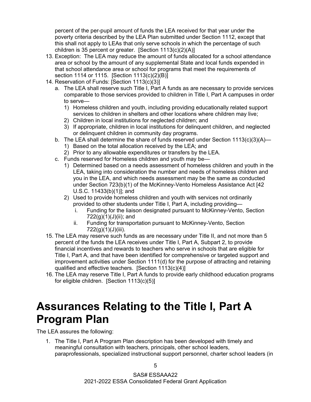percent of the per-pupil amount of funds the LEA received for that year under the poverty criteria described by the LEA Plan submitted under Section 1112, except that this shall not apply to LEAs that only serve schools in which the percentage of such children is 35 percent or greater. [Section 1113(c)(2)(A)]

- 13. Exception: The LEA may reduce the amount of funds allocated for a school attendance area or school by the amount of any supplemental State and local funds expended in that school attendance area or school for programs that meet the requirements of section 1114 or 1115. [Section 1113(c)(2)(B)]
- 14. Reservation of Funds: [Section 1113(c)(3)]
	- a. The LEA shall reserve such Title I, Part A funds as are necessary to provide services comparable to those services provided to children in Title I, Part A campuses in order to serve—
		- 1) Homeless children and youth, including providing educationally related support services to children in shelters and other locations where children may live;
		- 2) Children in local institutions for neglected children; and
		- 3) If appropriate, children in local institutions for delinquent children, and neglected or delinquent children in community day programs.
	- b. The LEA shall determine the share of funds reserved under Section  $1113(c)(3)(A)$ 
		- 1) Based on the total allocation received by the LEA; and
		- 2) Prior to any allowable expenditures or transfers by the LEA.
	- c. Funds reserved for Homeless children and youth may be—
		- 1) Determined based on a needs assessment of homeless children and youth in the LEA, taking into consideration the number and needs of homeless children and you in the LEA, and which needs assessment may be the same as conducted under Section 723(b)(1) of the McKinney-Vento Homeless Assistance Act [42 U.S.C. 11433(b)(1)]; and
		- 2) Used to provide homeless children and youth with services not ordinarily provided to other students under Title I, Part A, including providing
			- i. Funding for the liaison designated pursuant to McKinney-Vento, Section 722(g)(1)(J)(ii); and
			- ii. Funding for transportation pursuant to McKinney-Vento, Section 722(g)(1)(J)(iii).
- 15. The LEA may reserve such funds as are necessary under Title II, and not more than 5 percent of the funds the LEA receives under Title I, Part A, Subpart 2, to provide financial incentives and rewards to teachers who serve in schools that are eligible for Title I, Part A, and that have been identified for comprehensive or targeted support and improvement activities under Section 1111(d) for the purpose of attracting and retaining qualified and effective teachers. [Section 1113(c)(4)]
- 16. The LEA may reserve Title I, Part A funds to provide early childhood education programs for eligible children. [Section 1113(c)(5)]

#### <span id="page-7-0"></span>**Assurances Relating to the Title I, Part A Program Plan**

The LEA assures the following:

1. The Title I, Part A Program Plan description has been developed with timely and meaningful consultation with teachers, principals, other school leaders, paraprofessionals, specialized instructional support personnel, charter school leaders (in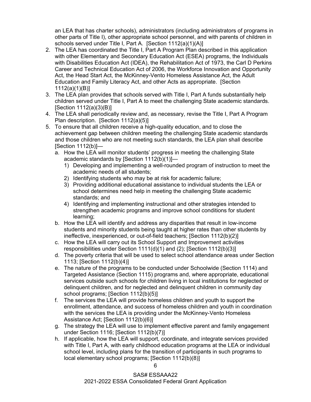an LEA that has charter schools), administrators (including administrators of programs in other parts of Title I), other appropriate school personnel, and with parents of children in schools served under Title I, Part A. [Section 1112(a)(1)(A)]

- 2. The LEA has coordinated the Title I, Part A Program Plan described in this application with other Elementary and Secondary Education Act (ESEA) programs, the Individuals with Disabilities Education Act (IDEA), the Rehabilitation Act of 1973, the Carl D Perkins Career and Technical Education Act of 2006, the Workforce Innovation and Opportunity Act, the Head Start Act, the McKinney-Vento Homeless Assistance Act, the Adult Education and Family Literacy Act, and other Acts as appropriate. [Section 1112(a)(1)(B)]
- 3. The LEA plan provides that schools served with Title I, Part A funds substantially help children served under Title I, Part A to meet the challenging State academic standards. [Section 1112(a)(3)(B)]
- 4. The LEA shall periodically review and, as necessary, revise the Title I, Part A Program Plan description. [Section 1112(a)(5)]
- 5. To ensure that all children receive a high-quality education, and to close the achievement gap between children meeting the challenging State academic standards and those children who are not meeting such standards, the LEA plan shall describe  $[Section 1112(b)]$ 
	- a. How the LEA will monitor students' progress in meeting the challenging State academic standards by [Section 1112(b)(1)]—
		- 1) Developing and implementing a well-rounded program of instruction to meet the academic needs of all students;
		- 2) Identifying students who may be at risk for academic failure;
		- 3) Providing additional educational assistance to individual students the LEA or school determines need help in meeting the challenging State academic standards; and
		- 4) Identifying and implementing instructional and other strategies intended to strengthen academic programs and improve school conditions for student learning;
	- b. How the LEA will identify and address any disparities that result in low-income students and minority students being taught at higher rates than other students by ineffective, inexperienced, or out-of-field teachers; [Section 1112(b)(2)]
	- c. How the LEA will carry out its School Support and Improvement activities responsibilities under Section 1111(d)(1) and (2); [Section 1112(b)(3)]
	- d. The poverty criteria that will be used to select school attendance areas under Section 1113; [Section 1112(b)(4)]
	- e. The nature of the programs to be conducted under Schoolwide (Section 1114) and Targeted Assistance (Section 1115) programs and, where appropriate, educational services outside such schools for children living in local institutions for neglected or delinquent children, and for neglected and delinquent children in community day school programs; [Section 1112(b)(5)]
	- f. The services the LEA will provide homeless children and youth to support the enrollment, attendance, and success of homeless children and youth in coordination with the services the LEA is providing under the McKinney-Vento Homeless Assistance Act; [Section 1112(b)(6)]
	- g. The strategy the LEA will use to implement effective parent and family engagement under Section 1116; [Section 1112(b)(7)]
	- h. If applicable, how the LEA will support, coordinate, and integrate services provided with Title I, Part A, with early childhood education programs at the LEA or individual school level, including plans for the transition of participants in such programs to local elementary school programs; [Section 1112(b)(8)]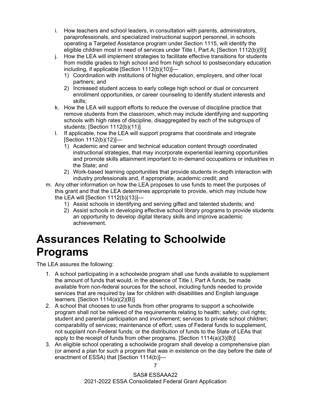- i. How teachers and school leaders, in consultation with parents, administrators, paraprofessionals, and specialized instructional support personnel, in schools operating a Targeted Assistance program under Section 1115, will identify the eligible children most in need of services under Title I, Part A; [Section 1112(b)(9)]
- j. How the LEA will implement strategies to facilitate effective transitions for students from middle grades to high school and from high school to postsecondary education including, if applicable [Section 1112(b)(10)]—
	- 1) Coordination with institutions of higher education, employers, and other local partners; and
	- 2) Increased student access to early college high school or dual or concurrent enrollment opportunities, or career counseling to identify student interests and skills;
- k. How the LEA will support efforts to reduce the overuse of discipline practice that remove students from the classroom, which may include identifying and supporting schools with high rates of discipline, disaggregated by each of the subgroups of students; [Section 1112(b)(11)]
- l. If applicable, how the LEA will support programs that coordinate and integrate [Section 1112(b)(12)]—
	- 1) Academic and career and technical education content through coordinated instructional strategies, that may incorporate experiential learning opportunities and promote skills attainment important to in-demand occupations or industries in the State; and
	- 2) Work-based learning opportunities that provide students in-depth interaction with industry professionals and, if appropriate, academic credit; and
- m. Any other information on how the LEA proposes to use funds to meet the purposes of this grant and that the LEA determines appropriate to provide, which may include how the LEA will [Section 1112(b)(13)]—
	- 1) Assist schools in identifying and serving gifted and talented students; and
	- 2) Assist schools in developing effective school library programs to provide students an opportunity to develop digital literacy skills and improve academic achievement.

#### <span id="page-9-0"></span>**Assurances Relating to Schoolwide Programs**

- 1. A school participating in a schoolwide program shall use funds available to supplement the amount of funds that would, in the absence of Title I, Part A funds, be made available from non-federal sources for the school, including funds needed to provide services that are required by law for children with disabilities and English language learners. [Section 1114(a)(2)(B)]
- 2. A school that chooses to use funds from other programs to support a schoolwide program shall not be relieved of the requirements relating to health; safety; civil rights; student and parental participation and involvement; services to private school children; comparability of services; maintenance of effort; uses of Federal funds to supplement, not supplant non-Federal funds; or the distribution of funds to the State of LEAs that apply to the receipt of funds from other programs. [Section 1114(a)(3)(B)]
- 3. An eligible school operating a schoolwide program shall develop a comprehensive plan (or amend a plan for such a program that was in existence on the day before the date of enactment of ESSA) that [Section 1114(b)]—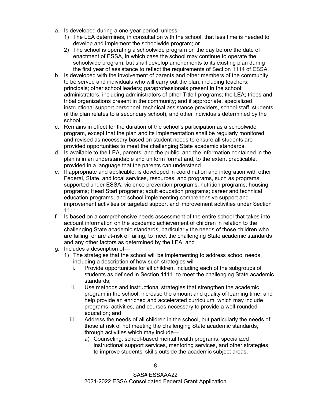- a. Is developed during a one-year period, unless:
	- 1) The LEA determines, in consultation with the school, that less time is needed to develop and implement the schoolwide program; or
	- 2) The school is operating a schoolwide program on the day before the date of enactment of ESSA, in which case the school may continue to operate the schoolwide program, but shall develop amendments to its existing plan during the first year of assistance to reflect the requirements of Section 1114 of ESSA.
- b. Is developed with the involvement of parents and other members of the community to be served and individuals who will carry out the plan, including teachers; principals; other school leaders; paraprofessionals present in the school; administrators, including administrators of other Title I programs; the LEA; tribes and tribal organizations present in the community; and if appropriate, specialized instructional support personnel, technical assistance providers, school staff, students (if the plan relates to a secondary school), and other individuals determined by the school.
- c. Remains in effect for the duration of the school's participation as a schoolwide program, except that the plan and its implementation shall be regularly monitored and revised as necessary based on student needs to ensure all students are provided opportunities to meet the challenging State academic standards.
- d. Is available to the LEA, parents, and the public, and the information contained in the plan is in an understandable and uniform format and, to the extent practicable, provided in a language that the parents can understand.
- e. If appropriate and applicable, is developed in coordination and integration with other Federal, State, and local services, resources, and programs, such as programs supported under ESSA; violence prevention programs; nutrition programs; housing programs; Head Start programs; adult education programs; career and technical education programs; and school implementing comprehensive support and improvement activities or targeted support and improvement activities under Section 1111.
- f. Is based on a comprehensive needs assessment of the entire school that takes into account information on the academic achievement of children in relation to the challenging State academic standards, particularly the needs of those children who are failing, or are at-risk of failing, to meet the challenging State academic standards and any other factors as determined by the LEA; and
- g. Includes a description of—
	- 1) The strategies that the school will be implementing to address school needs, including a description of how such strategies will
		- i. Provide opportunities for all children, including each of the subgroups of students as defined in Section 1111, to meet the challenging State academic standards;
		- ii. Use methods and instructional strategies that strengthen the academic program in the school, increase the amount and quality of learning time, and help provide an enriched and accelerated curriculum, which may include programs, activities, and courses necessary to provide a well-rounded education; and
		- iii. Address the needs of all children in the school, but particularly the needs of those at risk of not meeting the challenging State academic standards, through activities which may include
			- a) Counseling, school-based mental health programs, specialized instructional support services, mentoring services, and other strategies to improve students' skills outside the academic subject areas;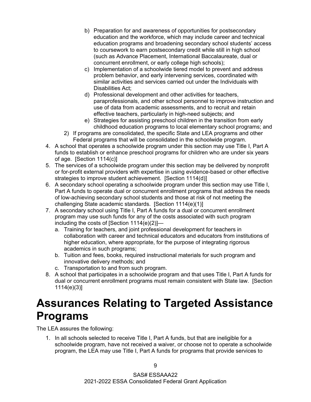- b) Preparation for and awareness of opportunities for postsecondary education and the workforce, which may include career and technical education programs and broadening secondary school students' access to coursework to earn postsecondary credit while still in high school (such as Advance Placement, International Baccalaureate, dual or concurrent enrollment, or early college high schools);
- c) Implementation of a schoolwide tiered model to prevent and address problem behavior, and early intervening services, coordinated with similar activities and services carried out under the Individuals with Disabilities Act;
- d) Professional development and other activities for teachers, paraprofessionals, and other school personnel to improve instruction and use of data from academic assessments, and to recruit and retain effective teachers, particularly in high-need subjects; and
- e) Strategies for assisting preschool children in the transition from early childhood education programs to local elementary school programs; and
- 2) If programs are consolidated, the specific State and LEA programs and other Federal programs that will be consolidated in the schoolwide program.
- 4. A school that operates a schoolwide program under this section may use Title I, Part A funds to establish or enhance preschool programs for children who are under six years of age. [Section 1114(c)]
- 5. The services of a schoolwide program under this section may be delivered by nonprofit or for-profit external providers with expertise in using evidence-based or other effective strategies to improve student achievement. [Section 1114(d)]
- 6. A secondary school operating a schoolwide program under this section may use Title I, Part A funds to operate dual or concurrent enrollment programs that address the needs of low-achieving secondary school students and those at risk of not meeting the challenging State academic standards. [Section 1114(e)(1)]
- 7. A secondary school using Title I, Part A funds for a dual or concurrent enrollment program may use such funds for any of the costs associated with such program including the costs of [Section 1114(e)(2)]
	- a. Training for teachers, and joint professional development for teachers in collaboration with career and technical educators and educators from institutions of higher education, where appropriate, for the purpose of integrating rigorous academics in such programs;
	- b. Tuition and fees, books, required instructional materials for such program and innovative delivery methods; and
	- c. Transportation to and from such program.
- 8. A school that participates in a schoolwide program and that uses Title I, Part A funds for dual or concurrent enrollment programs must remain consistent with State law. [Section 1114(e)(3)]

#### <span id="page-11-0"></span>**Assurances Relating to Targeted Assistance Programs**

The LEA assures the following:

1. In all schools selected to receive Title I, Part A funds, but that are ineligible for a schoolwide program, have not received a waiver, or choose not to operate a schoolwide program, the LEA may use Title I, Part A funds for programs that provide services to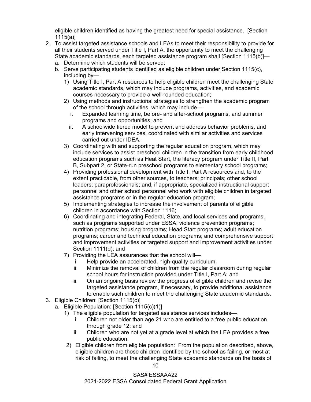eligible children identified as having the greatest need for special assistance. [Section 1115(a)]

- 2. To assist targeted assistance schools and LEAs to meet their responsibility to provide for all their students served under Title I, Part A, the opportunity to meet the challenging State academic standards, each targeted assistance program shall [Section 1115(b)]
	- a. Determine which students will be served;
	- b. Serve participating students identified as eligible children under Section 1115(c), including by—
		- 1) Using Title I, Part A resources to help eligible children meet the challenging State academic standards, which may include programs, activities, and academic courses necessary to provide a well-rounded education;
		- 2) Using methods and instructional strategies to strengthen the academic program of the school through activities, which may include
			- i. Expanded learning time, before- and after-school programs, and summer programs and opportunities; and
			- ii. A schoolwide tiered model to prevent and address behavior problems, and early intervening services, coordinated with similar activities and services carried out under IDEA.
		- 3) Coordinating with and supporting the regular education program, which may include services to assist preschool children in the transition from early childhood education programs such as Heat Start, the literacy program under Title II, Part B, Subpart 2, or State-run preschool programs to elementary school programs;
		- 4) Providing professional development with Title I, Part A resources and, to the extent practicable, from other sources, to teachers; principals; other school leaders; paraprofessionals; and, if appropriate, specialized instructional support personnel and other school personnel who work with eligible children in targeted assistance programs or in the regular education program;
		- 5) Implementing strategies to increase the involvement of parents of eligible children in accordance with Section 1116;
		- 6) Coordinating and integrating Federal, State, and local services and programs, such as programs supported under ESSA; violence prevention programs; nutrition programs; housing programs; Head Start programs; adult education programs; career and technical education programs; and comprehensive support and improvement activities or targeted support and improvement activities under Section 1111(d); and
		- 7) Providing the LEA assurances that the school will
			- i. Help provide an accelerated, high-quality curriculum;
			- ii. Minimize the removal of children from the regular classroom during regular school hours for instruction provided under Title I, Part A; and
			- iii. On an ongoing basis review the progress of eligible children and revise the targeted assistance program, if necessary, to provide additional assistance to enable such children to meet the challenging State academic standards.
- 3. Eligible Children: [Section 1115(c)]
	- a. Eligible Population: [Section 1115(c)(1)]
		- 1) The eligible population for targeted assistance services includes
			- i. Children not older than age 21 who are entitled to a free public education through grade 12; and
			- ii. Children who are not yet at a grade level at which the LEA provides a free public education.
		- 2) Eligible children from eligible population: From the population described, above, eligible children are those children identified by the school as failing, or most at risk of failing, to meet the challenging State academic standards on the basis of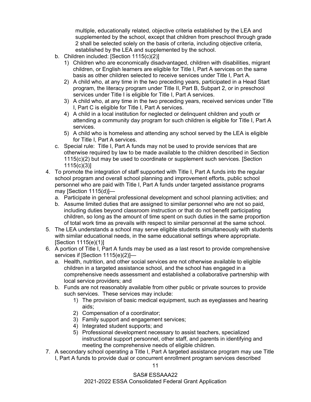multiple, educationally related, objective criteria established by the LEA and supplemented by the school, except that children from preschool through grade 2 shall be selected solely on the basis of criteria, including objective criteria, established by the LEA and supplemented by the school.

- b. Children included: [Section 1115(c)(2)]
	- 1) Children who are economically disadvantaged, children with disabilities, migrant children, or English learners are eligible for Title I, Part A services on the same basis as other children selected to receive services under Title I, Part A.
	- 2) A child who, at any time in the two preceding years, participated in a Head Start program, the literacy program under Title II, Part B, Subpart 2, or in preschool services under Title I is eligible for Title I, Part A services.
	- 3) A child who, at any time in the two preceding years, received services under Title I, Part C is eligible for Title I, Part A services.
	- 4) A child in a local institution for neglected or delinquent children and youth or attending a community day program for such children is eligible for Title I, Part A services.
	- 5) A child who is homeless and attending any school served by the LEA is eligible for Title I, Part A services.
- c. Special rule: Title I, Part A funds may not be used to provide services that are otherwise required by law to be made available to the children described in Section 1115(c)(2) but may be used to coordinate or supplement such services. [Section 1115(c)(3)]
- 4. To promote the integration of staff supported with Title I, Part A funds into the regular school program and overall school planning and improvement efforts, public school personnel who are paid with Title I, Part A funds under targeted assistance programs may [Section 1115(d)]
	- a. Participate in general professional development and school planning activities; and
	- b. Assume limited duties that are assigned to similar personnel who are not so paid, including duties beyond classroom instruction or that do not benefit participating children, so long as the amount of time spent on such duties in the same proportion of total work time as prevails with respect to similar personnel at the same school.
- 5. The LEA understands a school may serve eligible students simultaneously with students with similar educational needs, in the same educational settings where appropriate. [Section 1115(e)(1)]
- 6. A portion of Title I, Part A funds may be used as a last resort to provide comprehensive services if [Section 1115(e)(2)]
	- a. Health, nutrition, and other social services are not otherwise available to eligible children in a targeted assistance school, and the school has engaged in a comprehensive needs assessment and established a collaborative partnership with local service providers; and
	- b. Funds are not reasonably available from other public or private sources to provide such services. These services may include:
		- 1) The provision of basic medical equipment, such as eyeglasses and hearing aids;
		- 2) Compensation of a coordinator;
		- 3) Family support and engagement services;
		- 4) Integrated student supports; and
		- 5) Professional development necessary to assist teachers, specialized instructional support personnel, other staff, and parents in identifying and meeting the comprehensive needs of eligible children.
- 7. A secondary school operating a Title I, Part A targeted assistance program may use Title I, Part A funds to provide dual or concurrent enrollment program services described

11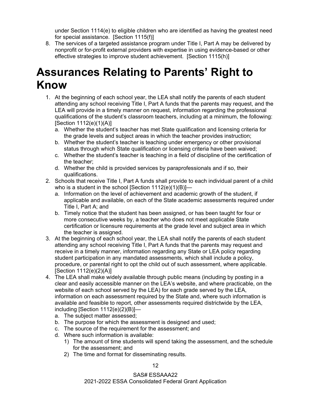under Section 1114(e) to eligible children who are identified as having the greatest need for special assistance. [Section 1115(f)]

8. The services of a targeted assistance program under Title I, Part A may be delivered by nonprofit or for-profit external providers with expertise in using evidence-based or other effective strategies to improve student achievement. [Section 1115(h)]

#### <span id="page-14-0"></span>**Assurances Relating to Parents' Right to Know**

- 1. At the beginning of each school year, the LEA shall notify the parents of each student attending any school receiving Title I, Part A funds that the parents may request, and the LEA will provide in a timely manner on request, information regarding the professional qualifications of the student's classroom teachers, including at a minimum, the following: [Section 1112(e)(1)(A)]
	- a. Whether the student's teacher has met State qualification and licensing criteria for the grade levels and subject areas in which the teacher provides instruction;
	- b. Whether the student's teacher is teaching under emergency or other provisional status through which State qualification or licensing criteria have been waived;
	- c. Whether the student's teacher is teaching in a field of discipline of the certification of the teacher;
	- d. Whether the child is provided services by paraprofessionals and if so, their qualifications.
- 2. Schools that receive Title I, Part A funds shall provide to each individual parent of a child who is a student in the school [Section 1112(e)(1)(B)]
	- a. Information on the level of achievement and academic growth of the student, if applicable and available, on each of the State academic assessments required under Title I, Part A; and
	- b. Timely notice that the student has been assigned, or has been taught for four or more consecutive weeks by, a teacher who does not meet applicable State certification or licensure requirements at the grade level and subject area in which the teacher is assigned.
- 3. At the beginning of each school year, the LEA shall notify the parents of each student attending any school receiving Title I, Part A funds that the parents may request and receive in a timely manner, information regarding any State or LEA policy regarding student participation in any mandated assessments, which shall include a policy, procedure, or parental right to opt the child out of such assessment, where applicable. [Section 1112(e)(2)(A)]
- 4. The LEA shall make widely available through public means (including by posting in a clear and easily accessible manner on the LEA's website, and where practicable, on the website of each school served by the LEA) for each grade served by the LEA, information on each assessment required by the State and, where such information is available and feasible to report, other assessments required districtwide by the LEA, including [Section 1112(e)(2)(B)]
	- a. The subject matter assessed;
	- b. The purpose for which the assessment is designed and used;
	- c. The source of the requirement for the assessment; and
	- d. Where such information is available:
		- 1) The amount of time students will spend taking the assessment, and the schedule for the assessment; and
		- 2) The time and format for disseminating results.

12

SAS# ESSAAA22 2021-2022 ESSA Consolidated Federal Grant Application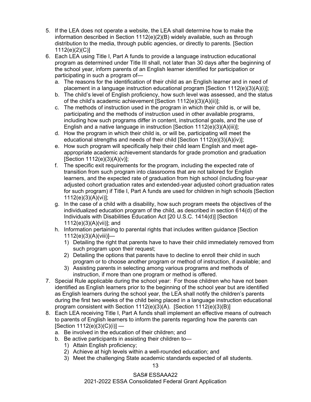- 5. If the LEA does not operate a website, the LEA shall determine how to make the information described in Section  $1112(e)(2)(B)$  widely available, such as through distribution to the media, through public agencies, or directly to parents. [Section 1112(e)(2)(C)]
- 6. Each LEA using Title I, Part A funds to provide a language instruction educational program as determined under Title III shall, not later than 30 days after the beginning of the school year, inform parents of an English learner identified for participation or participating in such a program of
	- a. The reasons for the identification of their child as an English learner and in need of placement in a language instruction educational program [Section 1112(e)(3)(A)(i)];
	- b. The child's level of English proficiency, how such level was assessed, and the status of the child's academic achievement [Section 1112(e)(3)(A)(ii)];
	- c. The methods of instruction used in the program in which their child is, or will be, participating and the methods of instruction used in other available programs, including how such programs differ in content, instructional goals, and the use of English and a native language in instruction [Section 1112(e)(3)(A)(iii)];
	- d. How the program in which their child is, or will be, participating will meet the educational strengths and needs of their child [Section 1112(e)(3)(A)(iv)];
	- e. How such program will specifically help their child learn English and meet ageappropriate academic achievement standards for grade promotion and graduation [Section 1112(e)(3)(A)(v)];
	- f. The specific exit requirements for the program, including the expected rate of transition from such program into classrooms that are not tailored for English learners, and the expected rate of graduation from high school (including four-year adjusted cohort graduation rates and extended-year adjusted cohort graduation rates for such program) if Title I, Part A funds are used for children in high schools [Section 1112(e)(3)(A)(vi)];
	- g. In the case of a child with a disability, how such program meets the objectives of the individualized education program of the child, as described in section 614(d) of the Individuals with Disabilities Education Act [20 U.S.C. 1414(d)] [Section 1112(e)(3)(A)(vii)]; and
	- h. Information pertaining to parental rights that includes written guidance [Section 1112(e)(3)(A)(viii)]—
		- 1) Detailing the right that parents have to have their child immediately removed from such program upon their request;
		- 2) Detailing the options that parents have to decline to enroll their child in such program or to choose another program or method of instruction, if available; and
		- 3) Assisting parents in selecting among various programs and methods of instruction, if more than one program or method is offered.
- 7. Special Rule applicable during the school year: For those children who have not been identified as English learners prior to the beginning of the school year but are identified as English learners during the school year, the LEA shall notify the children's parents during the first two weeks of the child being placed in a language instruction educational program consistent with Section 1112(e)(3)(A). [Section 1112(e)(3)(B)]
- 8. Each LEA receiving Title I, Part A funds shall implement an effective means of outreach to parents of English learners to inform the parents regarding how the parents can  $[Section 1112(e)(3)(C)(i)]$ 
	- a. Be involved in the education of their children; and
	- b. Be active participants in assisting their children to—
		- 1) Attain English proficiency;
		- 2) Achieve at high levels within a well-rounded education; and
		- 3) Meet the challenging State academic standards expected of all students.

SAS# ESSAAA22 2021-2022 ESSA Consolidated Federal Grant Application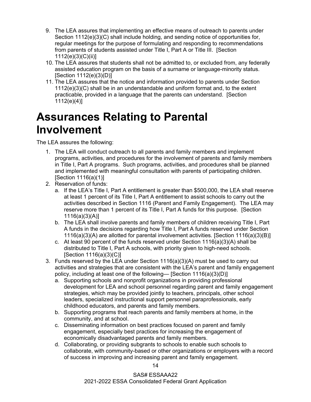- 9. The LEA assures that implementing an effective means of outreach to parents under Section 1112(e)(3)(C) shall include holding, and sending notice of opportunities for, regular meetings for the purpose of formulating and responding to recommendations from parents of students assisted under Title I, Part A or Title III. [Section 1112(e)(3)(C)(ii)]
- 10. The LEA assures that students shall not be admitted to, or excluded from, any federally assisted education program on the basis of a surname or language-minority status. [Section 1112(e)(3)(D)]
- 11. The LEA assures that the notice and information provided to parents under Section 1112(e)(3)(C) shall be in an understandable and uniform format and, to the extent practicable, provided in a language that the parents can understand. [Section  $1112(e)(4)$ ]

#### <span id="page-16-0"></span>**Assurances Relating to Parental Involvement**

The LEA assures the following:

- 1. The LEA will conduct outreach to all parents and family members and implement programs, activities, and procedures for the involvement of parents and family members in Title I, Part A programs. Such programs, activities, and procedures shall be planned and implemented with meaningful consultation with parents of participating children. [Section 1116(a)(1)]
- 2. Reservation of funds:
	- a. If the LEA's Title I, Part A entitlement is greater than \$500,000, the LEA shall reserve at least 1 percent of its Title I, Part A entitlement to assist schools to carry out the activities described in Section 1116 (Parent and Family Engagement). The LEA may reserve more than 1 percent of its Title I, Part A funds for this purpose. [Section 1116(a)(3)(A)]
	- b. The LEA shall involve parents and family members of children receiving Title I, Part A funds in the decisions regarding how Title I, Part A funds reserved under Section 1116(a)(3)(A) are allotted for parental involvement activities. [Section 1116(a)(3)(B)]
	- c. At least 90 percent of the funds reserved under Section  $1116(a)(3)(A)$  shall be distributed to Title I, Part A schools, with priority given to high-need schools. [Section 1116(a)(3)(C)]
- 3. Funds reserved by the LEA under Section 1116(a)(3)(A) must be used to carry out activities and strategies that are consistent with the LEA's parent and family engagement policy, including at least one of the following— [Section 1116(a)(3)(D)]
	- a. Supporting schools and nonprofit organizations in providing professional development for LEA and school personnel regarding parent and family engagement strategies, which may be provided jointly to teachers, principals, other school leaders, specialized instructional support personnel paraprofessionals, early childhood educators, and parents and family members.
	- b. Supporting programs that reach parents and family members at home, in the community, and at school.
	- c. Disseminating information on best practices focused on parent and family engagement, especially best practices for increasing the engagement of economically disadvantaged parents and family members.
	- d. Collaborating, or providing subgrants to schools to enable such schools to collaborate, with community-based or other organizations or employers with a record of success in improving and increasing parent and family engagement.

14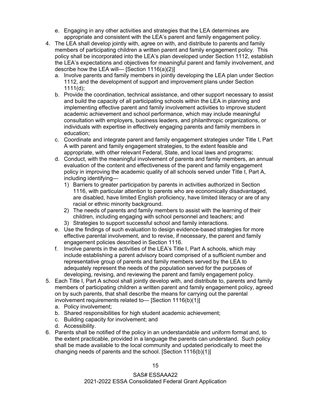- e. Engaging in any other activities and strategies that the LEA determines are appropriate and consistent with the LEA's parent and family engagement policy.
- 4. The LEA shall develop jointly with, agree on with, and distribute to parents and family members of participating children a written parent and family engagement policy. This policy shall be incorporated into the LEA's plan developed under Section 1112, establish the LEA's expectations and objectives for meaningful parent and family involvement, and describe how the LEA will— [Section 1116(a)(2)]
	- a. Involve parents and family members in jointly developing the LEA plan under Section 1112, and the development of support and improvement plans under Section 1111(d);
	- b. Provide the coordination, technical assistance, and other support necessary to assist and build the capacity of all participating schools within the LEA in planning and implementing effective parent and family involvement activities to improve student academic achievement and school performance, which may include meaningful consultation with employers, business leaders, and philanthropic organizations, or individuals with expertise in effectively engaging parents and family members in education;
	- c. Coordinate and integrate parent and family engagement strategies under Title I, Part A with parent and family engagement strategies, to the extent feasible and appropriate, with other relevant Federal, State, and local laws and programs;
	- d. Conduct, with the meaningful involvement of parents and family members, an annual evaluation of the content and effectiveness of the parent and family engagement policy in improving the academic quality of all schools served under Title I, Part A, including identifying—
		- 1) Barriers to greater participation by parents in activities authorized in Section 1116, with particular attention to parents who are economically disadvantaged, are disabled, have limited English proficiency, have limited literacy or are of any racial or ethnic minority background.
		- 2) The needs of parents and family members to assist with the learning of their children, including engaging with school personnel and teachers; and
		- 3) Strategies to support successful school and family interactions.
	- e. Use the findings of such evaluation to design evidence-based strategies for more effective parental involvement, and to revise, if necessary, the parent and family engagement policies described in Section 1116.
	- f. Involve parents in the activities of the LEA's Title I, Part A schools, which may include establishing a parent advisory board comprised of a sufficient number and representative group of parents and family members served by the LEA to adequately represent the needs of the population served for the purposes of developing, revising, and reviewing the parent and family engagement policy.
- 5. Each Title I, Part A school shall jointly develop with, and distribute to, parents and family members of participating children a written parent and family engagement policy, agreed on by such parents, that shall describe the means for carrying out the parental involvement requirements related to— [Section 1116(b)(1)]
	- a. Policy involvement;
	- b. Shared responsibilities for high student academic achievement;
	- c. Building capacity for involvement; and
	- d. Accessibility.
- 6. Parents shall be notified of the policy in an understandable and uniform format and, to the extent practicable, provided in a language the parents can understand. Such policy shall be made available to the local community and updated periodically to meet the changing needs of parents and the school. [Section 1116(b)(1)]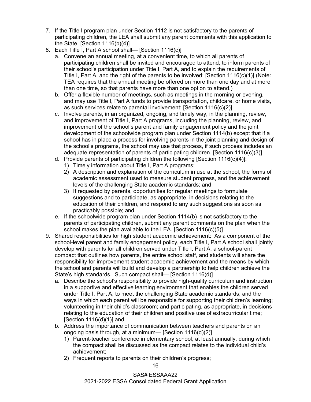- 7. If the Title I program plan under Section 1112 is not satisfactory to the parents of participating children, the LEA shall submit any parent comments with this application to the State. [Section 1116(b)(4)]
- 8. Each Title I, Part A school shall— [Section 1116(c)]
	- a. Convene an annual meeting, at a convenient time, to which all parents of participating children shall be invited and encouraged to attend, to inform parents of their school's participation under Title I, Part A, and to explain the requirements of Title I, Part A, and the right of the parents to be involved; [Section 1116(c)(1)] (Note: TEA requires that the annual meeting be offered on more than one day and at more than one time, so that parents have more than one option to attend.)
	- b. Offer a flexible number of meetings, such as meetings in the morning or evening, and may use Title I, Part A funds to provide transportation, childcare, or home visits, as such services relate to parental involvement; [Section 1116(c)(2)]
	- c. Involve parents, in an organized, ongoing, and timely way, in the planning, review, and improvement of Title I, Part A programs, including the planning, review, and improvement of the school's parent and family engagement policy and the joint development of the schoolwide program plan under Section 1114(b) except that if a school has in place a process for involving parents in the joint planning and design of the school's programs, the school may use that process, if such process includes an adequate representation of parents of participating children. [Section 1116(c)(3)]
	- d. Provide parents of participating children the following [Section 1116(c)(4)]:
		- 1) Timely information about Title I, Part A programs;
		- 2) A description and explanation of the curriculum in use at the school, the forms of academic assessment used to measure student progress, and the achievement levels of the challenging State academic standards; and
		- 3) If requested by parents, opportunities for regular meetings to formulate suggestions and to participate, as appropriate, in decisions relating to the education of their children, and respond to any such suggestions as soon as practicably possible; and
	- e. If the schoolwide program plan under Section 1114(b) is not satisfactory to the parents of participating children, submit any parent comments on the plan when the school makes the plan available to the LEA. [Section 1116(c)(5)]
- 9. Shared responsibilities for high student academic achievement: As a component of the school-level parent and family engagement policy, each Title I, Part A school shall jointly develop with parents for all children served under Title I, Part A, a school-parent compact that outlines how parents, the entire school staff, and students will share the responsibility for improvement student academic achievement and the means by which the school and parents will build and develop a partnership to help children achieve the State's high standards. Such compact shall— [Section 1116(d)]
	- a. Describe the school's responsibility to provide high-quality curriculum and instruction in a supportive and effective learning environment that enables the children served under Title I, Part A, to meet the challenging State academic standards, and the ways in which each parent will be responsible for supporting their children's learning; volunteering in their child's classroom; and participating, as appropriate, in decisions relating to the education of their children and positive use of extracurricular time; [Section 1116(d)(1)] and
	- b. Address the importance of communication between teachers and parents on an ongoing basis through, at a minimum— [Section 1116(d)(2)]
		- 1) Parent-teacher conference in elementary school, at least annually, during which the compact shall be discussed as the compact relates to the individual child's achievement;
		- 2) Frequent reports to parents on their children's progress;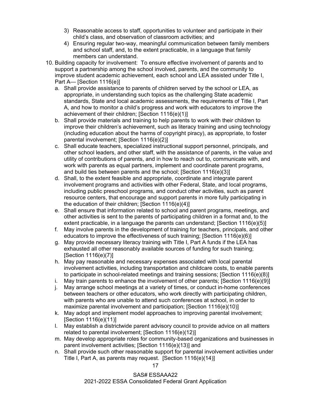- 3) Reasonable access to staff, opportunities to volunteer and participate in their child's class, and observation of classroom activities; and
- 4) Ensuring regular two-way, meaningful communication between family members and school staff, and, to the extent practicable, in a language that family members can understand.
- 10. Building capacity for involvement: To ensure effective involvement of parents and to support a partnership among the school involved, parents, and the community to improve student academic achievement, each school and LEA assisted under Title I, Part A— [Section 1116(e)]
	- a. Shall provide assistance to parents of children served by the school or LEA, as appropriate, in understanding such topics as the challenging State academic standards, State and local academic assessments, the requirements of Title I, Part A, and how to monitor a child's progress and work with educators to improve the achievement of their children; [Section 1116(e)(1)]
	- b. Shall provide materials and training to help parents to work with their children to improve their children's achievement, such as literacy training and using technology (including education about the harms of copyright piracy), as appropriate, to foster parental involvement; [Section 1116(e)(2)]
	- c. Shall educate teachers, specialized instructional support personnel, principals, and other school leaders, and other staff, with the assistance of parents, in the value and utility of contributions of parents, and in how to reach out to, communicate with, and work with parents as equal partners, implement and coordinate parent programs, and build ties between parents and the school; [Section 1116(e)(3)]
	- d. Shall, to the extent feasible and appropriate, coordinate and integrate parent involvement programs and activities with other Federal, State, and local programs, including public preschool programs, and conduct other activities, such as parent resource centers, that encourage and support parents in more fully participating in the education of their children; [Section 1116(e)(4)]
	- e. Shall ensure that information related to school and parent programs, meetings, and other activities is sent to the parents of participating children in a format and, to the extent practicable, in a language the parents can understand; [Section 1116(e)(5)]
	- f. May involve parents in the development of training for teachers, principals, and other educators to improve the effectiveness of such training; [Section 1116(e)(6)]
	- g. May provide necessary literacy training with Title I, Part A funds if the LEA has exhausted all other reasonably available sources of funding for such training; [Section 1116(e)(7)]
	- h. May pay reasonable and necessary expenses associated with local parental involvement activities, including transportation and childcare costs, to enable parents to participate in school-related meetings and training sessions; [Section 1116(e)(8)]
	- i. May train parents to enhance the involvement of other parents; [Section  $1116(e)(9)$ ]
	- j. May arrange school meetings at a variety of times, or conduct in-home conferences between teachers or other educators, who work directly with participating children, with parents who are unable to attend such conferences at school, in order to maximize parental involvement and participation; [Section 1116(e)(10)]
	- k. May adopt and implement model approaches to improving parental involvement; [Section 1116(e)(11)]
	- l. May establish a districtwide parent advisory council to provide advice on all matters related to parental involvement; [Section 1116(e)(12)]
	- m. May develop appropriate roles for community-based organizations and businesses in parent involvement activities; [Section 1116(e)(13)] and
	- n. Shall provide such other reasonable support for parental involvement activities under Title I, Part A, as parents may request. [Section 1116(e)(14)]

17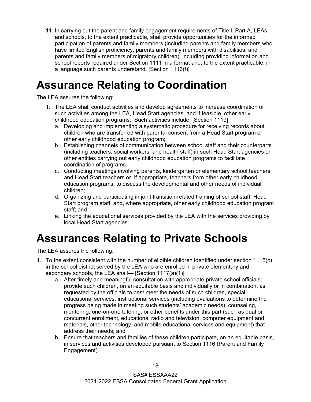11. In carrying out the parent and family engagement requirements of Title I, Part A, LEAs and schools, to the extent practicable, shall provide opportunities for the informed participation of parents and family members (including parents and family members who have limited English proficiency, parents and family members with disabilities, and parents and family members of migratory children), including providing information and school reports required under Section 1111 in a format and, to the extent practicable, in a language such parents understand. [Section 1116(f)]

#### <span id="page-20-0"></span>**Assurance Relating to Coordination**

The LEA assures the following:

- 1. The LEA shall conduct activities and develop agreements to increase coordination of such activities among the LEA, Head Start agencies, and if feasible, other early childhood education programs. Such activities include: [Section 1119]
	- a. Developing and implementing a systematic procedure for receiving records about children who are transferred with parental consent from a Head Start program or other early childhood education program;
	- b. Establishing channels of communication between school staff and their counterparts (including teachers, social workers, and health staff) in such Head Start agencies or other entities carrying out early childhood education programs to facilitate coordination of programs.
	- c. Conducting meetings involving parents, kindergarten or elementary school teachers, and Head Start teachers or, if appropriate, teachers from other early childhood education programs, to discuss the developmental and other needs of individual children;
	- d. Organizing and participating in joint transition-related training of school staff, Head Start program staff, and, where appropriate, other early childhood education program staff; and
	- e. Linking the educational services provided by the LEA with the services providing by local Head Start agencies.

#### <span id="page-20-1"></span>**Assurances Relating to Private Schools**

- 1. To the extent consistent with the number of eligible children identified under section 1115(c) in the school district served by the LEA who are enrolled in private elementary and secondary schools, the LEA shall— [Section 1117(a)(1)]
	- a. After timely and meaningful consultation with appropriate private school officials, provide such children, on an equitable basis and individually or in combination, as requested by the officials to best meet the needs of such children, special educational services, instructional services (including evaluations to determine the progress being made in meeting such students' academic needs), counseling, mentoring, one-on-one tutoring, or other benefits under this part (such as dual or concurrent enrollment, educational radio and television, computer equipment and materials, other technology, and mobile educational services and equipment) that address their needs; and
	- b. Ensure that teachers and families of these children participate, on an equitable basis, in services and activities developed pursuant to Section 1116 (Parent and Family Engagement).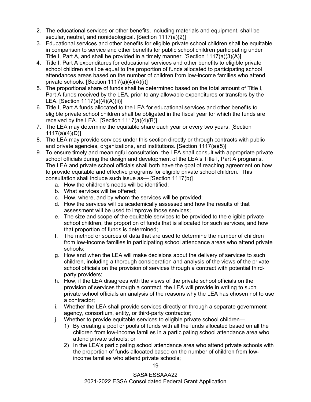- 2. The educational services or other benefits, including materials and equipment, shall be secular, neutral, and nonideological. [Section 1117(a)(2)]
- 3. Educational services and other benefits for eligible private school children shall be equitable in comparison to service and other benefits for public school children participating under Title I, Part A, and shall be provided in a timely manner. [Section 1117(a)(3)(A)]
- 4. Title I, Part A expenditures for educational services and other benefits to eligible private school children shall be equal to the proportion of funds allocated to participating school attendances areas based on the number of children from low-income families who attend private schools. [Section 1117(a)(4)(A)(i)]
- 5. The proportional share of funds shall be determined based on the total amount of Title I, Part A funds received by the LEA, prior to any allowable expenditures or transfers by the LEA. [Section  $117(a)(4)(A)(ii)$ ]
- 6. Title I, Part A funds allocated to the LEA for educational services and other benefits to eligible private school children shall be obligated in the fiscal year for which the funds are received by the LEA. [Section 1117(a)(4)(B)]
- 7. The LEA may determine the equitable share each year or every two years. [Section 1117(a)(4)(D)]
- 8. The LEA may provide services under this section directly or through contracts with public and private agencies, organizations, and institutions. [Section 1117(a)(5)]
- 9. To ensure timely and meaningful consultation, the LEA shall consult with appropriate private school officials during the design and development of the LEA's Title I, Part A programs. The LEA and private school officials shall both have the goal of reaching agreement on how to provide equitable and effective programs for eligible private school children. This consultation shall include such issue as— [Section 1117(b)]
	- a. How the children's needs will be identified;
	- b. What services will be offered;
	- c. How, where, and by whom the services will be provided;
	- d. How the services will be academically assessed and how the results of that assessment will be used to improve those services;
	- e. The size and scope of the equitable services to be provided to the eligible private school children, the proportion of funds that is allocated for such services, and how that proportion of funds is determined;
	- f. The method or sources of data that are used to determine the number of children from low-income families in participating school attendance areas who attend private schools;
	- g. How and when the LEA will make decisions about the delivery of services to such children, including a thorough consideration and analysis of the views of the private school officials on the provision of services through a contract with potential thirdparty providers;
	- h. How, if the LEA disagrees with the views of the private school officials on the provision of services through a contract, the LEA will provide in writing to such private school officials an analysis of the reasons why the LEA has chosen not to use a contractor;
	- i. Whether the LEA shall provide services directly or through a separate government agency, consortium, entity, or third-party contractor;
	- j. Whether to provide equitable services to eligible private school children—
		- 1) By creating a pool or pools of funds with all the funds allocated based on all the children from low-income families in a participating school attendance area who attend private schools; or
		- 2) In the LEA's participating school attendance area who attend private schools with the proportion of funds allocated based on the number of children from lowincome families who attend private schools;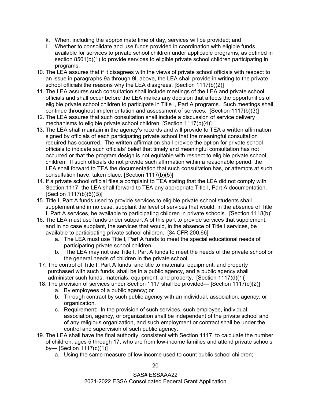- k. When, including the approximate time of day, services will be provided; and
- l. Whether to consolidate and use funds provided in coordination with eligible funds available for services to private school children under applicable programs, as defined in section 8501(b)(1) to provide services to eligible private school children participating in programs.
- 10. The LEA assures that if it disagrees with the views of private school officials with respect to an issue in paragraphs 9a through 9l, above, the LEA shall provide in writing to the private school officials the reasons why the LEA disagrees. [Section 1117(b)(2)]
- 11. The LEA assures such consultation shall include meetings of the LEA and private school officials and shall occur before the LEA makes any decision that affects the opportunities of eligible private school children to participate in Title I, Part A programs. Such meetings shall continue throughout implementation and assessment of services. [Section 1117(b)(3)]
- 12. The LEA assures that such consultation shall include a discussion of service delivery mechanisms to eligible private school children. [Section 1117(b)(4)]
- 13. The LEA shall maintain in the agency's records and will provide to TEA a written affirmation signed by officials of each participating private school that the meaningful consultation required has occurred. The written affirmation shall provide the option for private school officials to indicate such officials' belief that timely and meaningful consultation has not occurred or that the program design is not equitable with respect to eligible private school children. If such officials do not provide such affirmation within a reasonable period, the LEA shall forward to TEA the documentation that such consultation has, or attempts at such consultation have, taken place. [Section 1117(b)(5)]
- 14. If a private school official files a complaint to TEA stating that the LEA did not comply with Section 1117, the LEA shall forward to TEA any appropriate Title I, Part A documentation. [Section 1117(b)(6)(B)]
- 15. Title I, Part A funds used to provide services to eligible private school students shall supplement and in no case, supplant the level of services that would, in the absence of Title I, Part A services, be available to participating children in private schools. [Section 1118(b)]
- 16. The LEA must use funds under subpart A of this part to provide services that supplement, and in no case supplant, the services that would, in the absence of Title I services, be available to participating private school children. [34 CFR 200.66]
	- a. The LEA must use Title I, Part A funds to meet the special educational needs of participating private school children.
	- b. The LEA may not use Title I, Part A funds to meet the needs of the private school or the general needs of children in the private school.
- 17. The control of Title I, Part A funds, and title to materials, equipment, and property purchased with such funds, shall be in a public agency, and a public agency shall administer such funds, materials, equipment, and property. [Section 1117(d)(1)]
- 18. The provision of services under Section 1117 shall be provided— [Section 1117(d)(2)]
	- a. By employees of a public agency; or
	- b. Through contract by such public agency with an individual, association, agency, or organization.
	- c. Requirement: In the provision of such services, such employee, individual, association, agency, or organization shall be independent of the private school and of any religious organization, and such employment or contract shall be under the control and supervision of such public agency.
- 19. The LEA shall have the final authority, consistent with Section 1117, to calculate the number of children, ages 5 through 17, who are from low-income families and attend private schools by— [Section 1117(c)(1)]
	- a. Using the same measure of low income used to count public school children;

20

SAS# ESSAAA22 2021-2022 ESSA Consolidated Federal Grant Application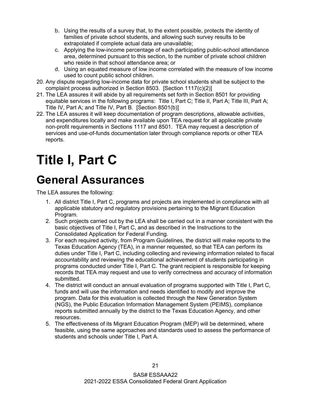- b. Using the results of a survey that, to the extent possible, protects the identity of families of private school students, and allowing such survey results to be extrapolated if complete actual data are unavailable;
- c. Applying the low-income percentage of each participating public-school attendance area, determined pursuant to this section, to the number of private school children who reside in that school attendance area; or
- d. Using an equated measure of low income correlated with the measure of low income used to count public school children.
- 20. Any dispute regarding low-income data for private school students shall be subject to the complaint process authorized in Section 8503. [Section 1117(c)(2)]
- 21. The LEA assures it will abide by all requirements set forth in Section 8501 for providing equitable services in the following programs: Title I, Part C; Title II, Part A; Title III, Part A; Title IV, Part A; and Title IV, Part B. [Section 8501(b)]
- 22. The LEA assures it will keep documentation of program descriptions, allowable activities, and expenditures locally and make available upon TEA request for all applicable private non-profit requirements in Sections 1117 and 8501. TEA may request a description of services and use-of-funds documentation later through compliance reports or other TEA reports.

# <span id="page-23-0"></span>**Title I, Part C**

#### <span id="page-23-1"></span>**General Assurances**

- 1. All district Title I, Part C, programs and projects are implemented in compliance with all applicable statutory and regulatory provisions pertaining to the Migrant Education Program.
- 2. Such projects carried out by the LEA shall be carried out in a manner consistent with the basic objectives of Title I, Part C, and as described in the Instructions to the Consolidated Application for Federal Funding.
- 3. For each required activity, from Program Guidelines, the district will make reports to the Texas Education Agency (TEA), in a manner requested, so that TEA can perform its duties under Title I, Part C, including collecting and reviewing information related to fiscal accountability and reviewing the educational achievement of students participating in programs conducted under Title I, Part C. The grant recipient is responsible for keeping records that TEA may request and use to verify correctness and accuracy of information submitted.
- 4. The district will conduct an annual evaluation of programs supported with Title I, Part C, funds and will use the information and needs identified to modify and improve the program. Data for this evaluation is collected through the New Generation System (NGS), the Public Education Information Management System (PEIMS), compliance reports submitted annually by the district to the Texas Education Agency, and other resources.
- 5. The effectiveness of its Migrant Education Program (MEP) will be determined, where feasible, using the same approaches and standards used to assess the performance of students and schools under Title I, Part A.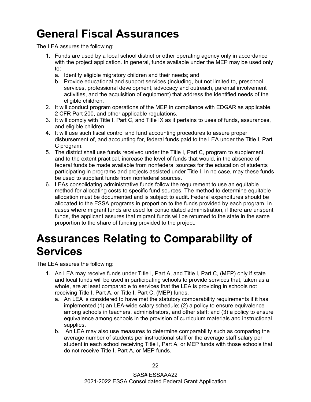#### <span id="page-24-0"></span>**General Fiscal Assurances**

The LEA assures the following:

- 1. Funds are used by a local school district or other operating agency only in accordance with the project application. In general, funds available under the MEP may be used only to:
	- a. Identify eligible migratory children and their needs; and
	- b. Provide educational and support services (including, but not limited to, preschool services, professional development, advocacy and outreach, parental involvement activities, and the acquisition of equipment) that address the identified needs of the eligible children.
- 2. It will conduct program operations of the MEP in compliance with EDGAR as applicable, 2 CFR Part 200, and other applicable regulations.
- 3. It will comply with Title I, Part C, and Title IX as it pertains to uses of funds, assurances, and eligible children.
- 4. It will use such fiscal control and fund accounting procedures to assure proper disbursement of, and accounting for, federal funds paid to the LEA under the Title I, Part C program.
- 5. The district shall use funds received under the Title I, Part C, program to supplement, and to the extent practical, increase the level of funds that would, in the absence of federal funds be made available from nonfederal sources for the education of students participating in programs and projects assisted under Title I. In no case, may these funds be used to supplant funds from nonfederal sources.
- 6. LEAs consolidating administrative funds follow the requirement to use an equitable method for allocating costs to specific fund sources. The method to determine equitable allocation must be documented and is subject to audit. Federal expenditures should be allocated to the ESSA programs in proportion to the funds provided by each program. In cases where migrant funds are used for consolidated administration, if there are unspent funds, the applicant assures that migrant funds will be returned to the state in the same proportion to the share of funding provided to the project.

#### <span id="page-24-1"></span>**Assurances Relating to Comparability of Services**

- 1. An LEA may receive funds under Title I, Part A, and Title I, Part C, (MEP) only if state and local funds will be used in participating schools to provide services that, taken as a whole, are at least comparable to services that the LEA is providing in schools not receiving Title I, Part A, or Title I, Part C, (MEP) funds.
	- a. An LEA is considered to have met the statutory comparability requirements if it has implemented (1) an LEA-wide salary schedule; (2) a policy to ensure equivalence among schools in teachers, administrators, and other staff; and (3) a policy to ensure equivalence among schools in the provision of curriculum materials and instructional supplies.
	- b. An LEA may also use measures to determine comparability such as comparing the average number of students per instructional staff or the average staff salary per student in each school receiving Title I, Part A, or MEP funds with those schools that do not receive Title I, Part A, or MEP funds.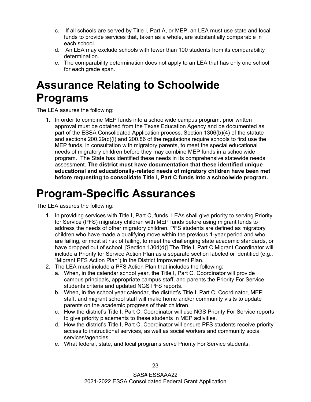- c. If all schools are served by Title I, Part A, or MEP, an LEA must use state and local funds to provide services that, taken as a whole, are substantially comparable in each school.
- d. An LEA may exclude schools with fewer than 100 students from its comparability determination.
- e. The comparability determination does not apply to an LEA that has only one school for each grade span.

#### <span id="page-25-0"></span>**Assurance Relating to Schoolwide Programs**

The LEA assures the following:

1. In order to combine MEP funds into a schoolwide campus program, prior written approval must be obtained from the Texas Education Agency and be documented as part of the ESSA Consolidated Application process. Section 1306(b)(4) of the statute and sections 200.29(c)(l) and 200.86 of the regulations require schools to first use the MEP funds, in consultation with migratory parents, to meet the special educational needs of migratory children before they may combine MEP funds in a schoolwide program. The State has identified these needs in its comprehensive statewide needs assessment. **The district must have documentation that these identified unique educational and educationally-related needs of migratory children have been met before requesting to consolidate Title I, Part C funds into a schoolwide program.**

#### <span id="page-25-1"></span>**Program-Specific Assurances**

- 1. In providing services with Title I, Part C, funds, LEAs shall give priority to serving Priority for Service (PFS) migratory children with MEP funds before using migrant funds to address the needs of other migratory children. PFS students are defined as migratory children who have made a qualifying move within the previous 1-year period and who are failing, or most at risk of failing, to meet the challenging state academic standards, or have dropped out of school. [Section 1304(d)] The Title I, Part C Migrant Coordinator will include a Priority for Service Action Plan as a separate section labeled or identified (e.g., "Migrant PFS Action Plan") in the District Improvement Plan.
- 2. The LEA must include a PFS Action Plan that includes the following:
	- a. When, in the calendar school year, the Title I, Part C, Coordinator will provide campus principals, appropriate campus staff, and parents the Priority For Service students criteria and updated NGS PFS reports.
	- b. When, in the school year calendar, the district's Title I, Part C, Coordinator, MEP staff, and migrant school staff will make home and/or community visits to update parents on the academic progress of their children.
	- c. How the district's Title I, Part C, Coordinator will use NGS Priority For Service reports to give priority placements to these students in MEP activities.
	- d. How the district's Title I, Part C, Coordinator will ensure PFS students receive priority access to instructional services, as well as social workers and community social services/agencies.
	- e. What federal, state, and local programs serve Priority For Service students.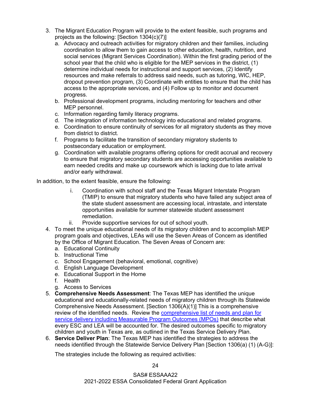- 3. The Migrant Education Program will provide to the extent feasible, such programs and projects as the following: [Section 1304(c)(7)]
	- a. Advocacy and outreach activities for migratory children and their families, including coordination to allow them to gain access to other education, health, nutrition, and social services (Migrant Services Coordination). Within the first grading period of the school year that the child who is eligible for the MEP services in the district, (1) determine individual needs for instructional and support services, (2) Identify resources and make referrals to address said needs, such as tutoring, WIC, HEP, dropout prevention program, (3) Coordinate with entities to ensure that the child has access to the appropriate services, and (4) Follow up to monitor and document progress.
	- b. Professional development programs, including mentoring for teachers and other MEP personnel.
	- c. Information regarding family literacy programs.
	- d. The integration of information technology into educational and related programs.
	- e. Coordination to ensure continuity of services for all migratory students as they move from district to district.
	- f. Programs to facilitate the transition of secondary migratory students to postsecondary education or employment.
	- g. Coordination with available programs offering options for credit accrual and recovery to ensure that migratory secondary students are accessing opportunities available to earn needed credits and make up coursework which is lacking due to late arrival and/or early withdrawal.

In addition, to the extent feasible, ensure the following:

- i. Coordination with school staff and the Texas Migrant Interstate Program (TMIP) to ensure that migratory students who have failed any subject area of the state student assessment are accessing local, intrastate, and interstate opportunities available for summer statewide student assessment remediation.
- ii. Provide supportive services for out of school youth.
- 4. To meet the unique educational needs of its migratory children and to accomplish MEP program goals and objectives, LEAs will use the Seven Areas of Concern as identified by the Office of Migrant Education. The Seven Areas of Concern are:
	- a. Educational Continuity
	- b. Instructional Time
	- c. School Engagement (behavioral, emotional, cognitive)
	- d. English Language Development
	- e. Educational Support in the Home
	- f. Health
	- g. Access to Services
- 5. **Comprehensive Needs Assessment**: The Texas MEP has identified the unique educational and educationally-related needs of migratory children through its Statewide Comprehensive Needs Assessment. [Section 1306(A)(1)] This is a comprehensive review of the identified needs. Review the [comprehensive list of needs and plan for](https://tea.texas.gov/finance-and-grants/grants/essa-program/title-i-part-c-education-of-migratory-children)  [service delivery including Measurable Program Outcomes \(MPOs\)](https://tea.texas.gov/finance-and-grants/grants/essa-program/title-i-part-c-education-of-migratory-children) that describe what every ESC and LEA will be accounted for. The desired outcomes specific to migratory children and youth in Texas are, as outlined in the Texas Service Delivery Plan.
- 6. **Service Deliver Plan**: The Texas MEP has identified the strategies to address the needs identified through the Statewide Service Delivery Plan [Section 1306(a) (1) (A-G)]:

The strategies include the following as required activities: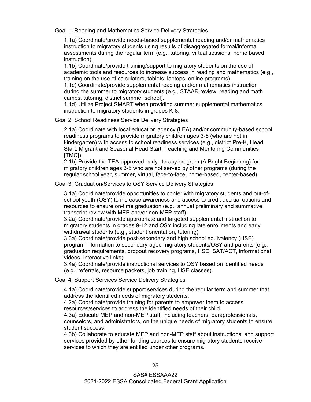Goal 1: Reading and Mathematics Service Delivery Strategies

1.1a) Coordinate/provide needs-based supplemental reading and/or mathematics instruction to migratory students using results of disaggregated formal/informal assessments during the regular term (e.g., tutoring, virtual sessions, home based instruction).

1.1b) Coordinate/provide training/support to migratory students on the use of academic tools and resources to increase success in reading and mathematics (e.g., training on the use of calculators, tablets, laptops, online programs).

1.1c) Coordinate/provide supplemental reading and/or mathematics instruction during the summer to migratory students (e.g., STAAR review, reading and math camps, tutoring, district summer school).

1.1d) Utilize Project SMART when providing summer supplemental mathematics instruction to migratory students in grades K-8.

Goal 2: School Readiness Service Delivery Strategies

2.1a) Coordinate with local education agency (LEA) and/or community-based school readiness programs to provide migratory children ages 3-5 (who are not in kindergarten) with access to school readiness services (e.g., district Pre-K, Head Start, Migrant and Seasonal Head Start, Teaching and Mentoring Communities [TMC]).

2.1b) Provide the TEA-approved early literacy program (A Bright Beginning) for migratory children ages 3-5 who are not served by other programs (during the regular school year, summer, virtual, face-to-face, home-based, center-based).

Goal 3: Graduation/Services to OSY Service Delivery Strategies

3.1a) Coordinate/provide opportunities to confer with migratory students and out-ofschool youth (OSY) to increase awareness and access to credit accrual options and resources to ensure on-time graduation (e.g., annual preliminary and summative transcript review with MEP and/or non-MEP staff).

3.2a) Coordinate/provide appropriate and targeted supplemental instruction to migratory students in grades 9-12 and OSY including late enrollments and early withdrawal students (e.g., student orientation, tutoring).

3.3a) Coordinate/provide post-secondary and high school equivalency (HSE) program information to secondary-aged migratory students/OSY and parents (e.g., graduation requirements, dropout recovery programs, HSE, SAT/ACT, informational videos, interactive links).

3.4a) Coordinate/provide instructional services to OSY based on identified needs (e.g., referrals, resource packets, job training, HSE classes).

Goal 4: Support Services Service Delivery Strategies

4.1a) Coordinate/provide support services during the regular term and summer that address the identified needs of migratory students.

4.2a) Coordinate/provide training for parents to empower them to access resources/services to address the identified needs of their child.

4.3a) Educate MEP and non-MEP staff, including teachers, paraprofessionals,

counselors, and administrators, on the unique needs of migratory students to ensure student success.

4.3b) Collaborate to educate MEP and non-MEP staff about instructional and support services provided by other funding sources to ensure migratory students receive services to which they are entitled under other programs.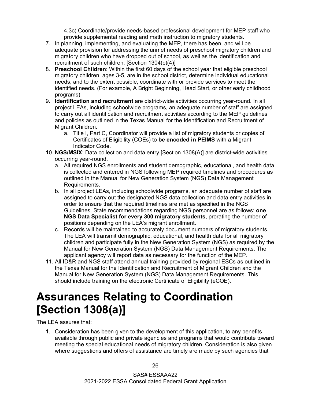4.3c) Coordinate/provide needs-based professional development for MEP staff who provide supplemental reading and math instruction to migratory students.

- 7. In planning, implementing, and evaluating the MEP, there has been, and will be adequate provision for addressing the unmet needs of preschool migratory children and migratory children who have dropped out of school, as well as the identification and recruitment of such children. [Section 1304(c)(4)]
- 8. **Preschool Children**: Within the first 60 days of the school year that eligible preschool migratory children, ages 3-5, are in the school district, determine individual educational needs, and to the extent possible, coordinate with or provide services to meet the identified needs. (For example, A Bright Beginning, Head Start, or other early childhood programs)
- 9. **Identification and recruitment** are district-wide activities occurring year-round. In all project LEAs, including schoolwide programs, an adequate number of staff are assigned to carry out all identification and recruitment activities according to the MEP guidelines and policies as outlined in the Texas Manual for the Identification and Recruitment of Migrant Children.
	- a. Title I, Part C, Coordinator will provide a list of migratory students or copies of Certificates of Eligibility (COEs) to **be encoded in PEIMS** with a Migrant Indicator Code.
- 10. **NGS/MSIX**: Data collection and data entry [Section 1308(A)] are district-wide activities occurring year-round.
	- a. All required NGS enrollments and student demographic, educational, and health data is collected and entered in NGS following MEP required timelines and procedures as outlined in the Manual for New Generation System (NGS) Data Management Requirements.
	- b. In all project LEAs, including schoolwide programs, an adequate number of staff are assigned to carry out the designated NGS data collection and data entry activities in order to ensure that the required timelines are met as specified in the NGS Guidelines. State recommendations regarding NGS personnel are as follows: **one NGS Data Specialist for every 300 migratory students**, prorating the number of positions depending on the LEA's migrant enrollment.
	- c. Records will be maintained to accurately document numbers of migratory students. The LEA will transmit demographic, educational, and health data for all migratory children and participate fully in the New Generation System (NGS) as required by the Manual for New Generation System (NGS) Data Management Requirements. The applicant agency will report data as necessary for the function of the MEP.
- 11. All ID&R and NGS staff attend annual training provided by regional ESCs as outlined in the Texas Manual for the Identification and Recruitment of Migrant Children and the Manual for New Generation System (NGS) Data Management Requirements. This should include training on the electronic Certificate of Eligibility (eCOE).

#### <span id="page-28-0"></span>**Assurances Relating to Coordination [Section 1308(a)]**

The LEA assures that:

1. Consideration has been given to the development of this application, to any benefits available through public and private agencies and programs that would contribute toward meeting the special educational needs of migratory children. Consideration is also given where suggestions and offers of assistance are timely are made by such agencies that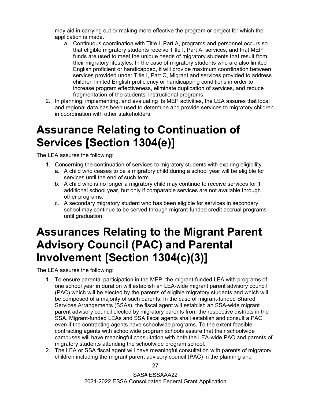may aid in carrying out or making more effective the program or project for which the application is made.

- a. Continuous coordination with Title I, Part A, programs and personnel occurs so that eligible migratory students receive Title I, Part A, services, and that MEP funds are used to meet the unique needs of migratory students that result from their migratory lifestyles. In the case of migratory students who are also limited English proficient or handicapped, it will provide maximum coordination between services provided under Title I, Part C, Migrant and services provided to address children limited English proficiency or handicapping conditions in order to increase program effectiveness, eliminate duplication of services, and reduce fragmentation of the students' instructional programs.
- 2. In planning, implementing, and evaluating its MEP activities, the LEA assures that local and regional data has been used to determine and provide services to migratory children in coordination with other stakeholders.

#### <span id="page-29-0"></span>**Assurance Relating to Continuation of Services [Section 1304(e)]**

The LEA assures the following:

- 1. Concerning the continuation of services to migratory students with expiring eligibility
	- a. A child who ceases to be a migratory child during a school year will be eligible for services until the end of such term.
	- b. A child who is no longer a migratory child may continue to receive services for 1 additional school year, but only if comparable services are not available through other programs.
	- c. A secondary migratory student who has been eligible for services in secondary school may continue to be served through migrant-funded credit accrual programs until graduation.

#### <span id="page-29-1"></span>**Assurances Relating to the Migrant Parent Advisory Council (PAC) and Parental Involvement [Section 1304(c)(3)]**

- 1. To ensure parental participation in the MEP, the migrant-funded LEA with programs of one school year in duration will establish an LEA-wide migrant parent advisory council (PAC) which will be elected by the parents of eligible migratory students and which will be composed of a majority of such parents. In the case of migrant-funded Shared Services Arrangements (SSAs), the fiscal agent will establish an SSA-wide migrant parent advisory council elected by migratory parents from the respective districts in the SSA. Migrant-funded LEAs and SSA fiscal agents shall establish and consult a PAC even if the contracting agents have schoolwide programs. To the extent feasible, contracting agents with schoolwide program schools assure that their schoolwide campuses will have meaningful consultation with both the LEA-wide PAC and parents of migratory students attending the schoolwide program school.
- 2. The LEA or SSA fiscal agent will have meaningful consultation with parents of migratory children including the migrant parent advisory council (PAC) in the planning and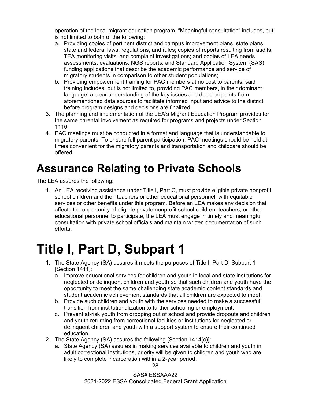operation of the local migrant education program. "Meaningful consultation" includes, but is not limited to both of the following:

- a. Providing copies of pertinent district and campus improvement plans, state plans, state and federal laws, regulations, and rules; copies of reports resulting from audits, TEA monitoring visits, and complaint investigations; and copies of LEA needs assessments, evaluations, NGS reports, and Standard Application System (SAS) funding applications that describe the academic performance and service of migratory students in comparison to other student populations;
- b. Providing empowerment training for PAC members at no cost to parents; said training includes, but is not limited to, providing PAC members, in their dominant language, a clear understanding of the key issues and decision points from aforementioned data sources to facilitate informed input and advice to the district before program designs and decisions are finalized.
- 3. The planning and implementation of the LEA's Migrant Education Program provides for the same parental involvement as required for programs and projects under Section 1116.
- 4. PAC meetings must be conducted in a format and language that is understandable to migratory parents. To ensure full parent participation, PAC meetings should be held at times convenient for the migratory parents and transportation and childcare should be offered.

#### <span id="page-30-0"></span>**Assurance Relating to Private Schools**

The LEA assures the following:

1. An LEA receiving assistance under Title I, Part C, must provide eligible private nonprofit school children and their teachers or other educational personnel, with equitable services or other benefits under this program. Before an LEA makes any decision that affects the opportunity of eligible private nonprofit school children, teachers, or other educational personnel to participate, the LEA must engage in timely and meaningful consultation with private school officials and maintain written documentation of such efforts.

# <span id="page-30-1"></span>**Title I, Part D, Subpart 1**

- 1. The State Agency (SA) assures it meets the purposes of Title I, Part D, Subpart 1 [Section 1411]:
	- a. Improve educational services for children and youth in local and state institutions for neglected or delinquent children and youth so that such children and youth have the opportunity to meet the same challenging state academic content standards and student academic achievement standards that all children are expected to meet.
	- b. Provide such children and youth with the services needed to make a successful transition from institutionalization to further schooling or employment.
	- c. Prevent at-risk youth from dropping out of school and provide dropouts and children and youth returning from correctional facilities or institutions for neglected or delinquent children and youth with a support system to ensure their continued education.
- 2. The State Agency (SA) assures the following [Section 1414(c)]:
	- a. State Agency (SA) assures in making services available to children and youth in adult correctional institutions, priority will be given to children and youth who are likely to complete incarceration within a 2-year period.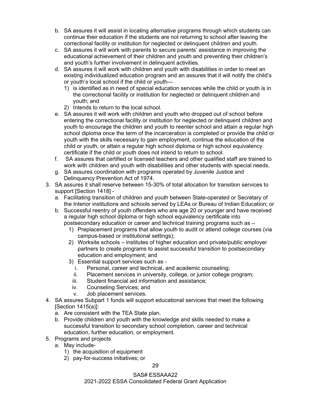- b. SA assures it will assist in locating alternative programs through which students can continue their education if the students are not returning to school after leaving the correctional facility or institution for neglected or delinquent children and youth.
- c. SA assures it will work with parents to secure parents' assistance in improving the educational achievement of their children and youth and preventing their children's and youth's further involvement in delinquent activities.
- d. SA assures it will work with children and youth with disabilities in order to meet an existing individualized education program and an assures that it will notify the child's or youth's local school if the child or youth—
	- 1) is identified as in need of special education services while the child or youth is in the correctional facility or institution for neglected or delinquent children and youth; and
	- 2) Intends to return to the local school.
- e. SA assures it will work with children and youth who dropped out of school before entering the correctional facility or institution for neglected or delinquent children and youth to encourage the children and youth to reenter school and attain a regular high school diploma once the term of the incarceration is completed or provide the child or youth with the skills necessary to gain employment, continue the education of the child or youth, or attain a regular high school diploma or high school equivalency certificate if the child or youth does not intend to return to school.
- f. SA assures that certified or licensed teachers and other qualified staff are trained to work with children and youth with disabilities and other students with special needs.
- g. SA assures coordination with programs operated by Juvenile Justice and Delinquency Prevention Act of 1974.
- 3. SA assures it shall reserve between 15-30% of total allocation for transition services to support [Section 1418]
	- a. Facilitating transition of children and youth between State-operated or Secretary of the Interior institutions and schools served by LEAs or Bureau of Indian Education; or
	- b. Successful reentry of youth offenders who are age 20 or younger and have received a regular high school diploma or high school equivalency certificate into postsecondary education or career and technical training programs such as –
		- 1) Preplacement programs that allow youth to audit or attend college courses (via campus-based or institutional settings);
		- 2) Worksite schools institutes of higher education and private/public employer partners to create programs to assist successful transition to postsecondary education and employment; and
		- 3) Essential support services such as
			- i. Personal, career and technical, and academic counseling;
			- ii. Placement services in university, college, or junior college program;
			- iii. Student financial aid information and assistance;
			- iv. Counseling Services; and
			- v. Job placement services.
- 4. SA assures Subpart 1 funds will support educational services that meet the following [Section 1415(a)]:
	- a. Are consistent with the TEA State plan.
	- b. Provide children and youth with the knowledge and skills needed to make a successful transition to secondary school completion, career and technical education, further education, or employment.
- 5. Programs and projects
	- a. May include-
		- 1) the acquisition of equipment
		- 2) pay-for-success initiatives; or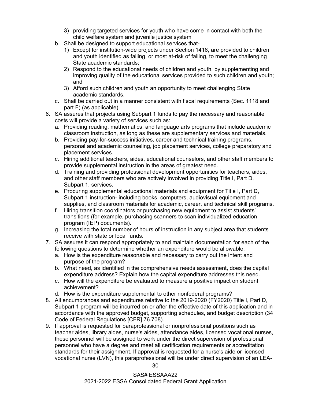- 3) providing targeted services for youth who have come in contact with both the child welfare system and juvenile justice system
- b. Shall be designed to support educational services that-
	- 1) Except for institution-wide projects under Section 1416, are provided to children and youth identified as failing, or most at-risk of failing, to meet the challenging State academic standards;
	- 2) Respond to the educational needs of children and youth, by supplementing and improving quality of the educational services provided to such children and youth; and
	- 3) Afford such children and youth an opportunity to meet challenging State academic standards.
- c. Shall be carried out in a manner consistent with fiscal requirements (Sec. 1118 and part F) (as applicable).
- 6. SA assures that projects using Subpart 1 funds to pay the necessary and reasonable costs will provide a variety of services such as:
	- a. Providing reading, mathematics, and language arts programs that include academic classroom instruction, as long as these are supplementary services and materials.
	- b. Providing pay-for-success initiatives, career and technical training programs, personal and academic counseling, job placement services, college preparatory and placement services.
	- c. Hiring additional teachers, aides, educational counselors, and other staff members to provide supplemental instruction in the areas of greatest need.
	- d. Training and providing professional development opportunities for teachers, aides, and other staff members who are actively involved in providing Title I, Part D, Subpart 1, services.
	- e. Procuring supplemental educational materials and equipment for Title I, Part D, Subpart 1 instruction- including books, computers, audiovisual equipment and supplies, and classroom materials for academic, career, and technical skill programs.
	- f. Hiring transition coordinators or purchasing new equipment to assist students' transitions (for example, purchasing scanners to scan individualized education program (IEP) documents).
	- g. Increasing the total number of hours of instruction in any subject area that students receive with state or local funds.
- 7. SA assures it can respond appropriately to and maintain documentation for each of the following questions to determine whether an expenditure would be allowable:
	- a. How is the expenditure reasonable and necessary to carry out the intent and purpose of the program?
	- b. What need, as identified in the comprehensive needs assessment, does the capital expenditure address? Explain how the capital expenditure addresses this need.
	- c. How will the expenditure be evaluated to measure a positive impact on student achievement?
	- d. How is the expenditure supplemental to other nonfederal programs?
- 8. All encumbrances and expenditures relative to the 2019-2020 (FY2020) Title I, Part D, Subpart 1 program will be incurred on or after the effective date of this application and in accordance with the approved budget, supporting schedules, and budget description (34 Code of Federal Regulations [CFR] 76.708).
- 9. If approval is requested for paraprofessional or nonprofessional positions such as teacher aides, library aides, nurse's aides, attendance aides, licensed vocational nurses, these personnel will be assigned to work under the direct supervision of professional personnel who have a degree and meet all certification requirements or accreditation standards for their assignment. If approval is requested for a nurse's aide or licensed vocational nurse (LVN), this paraprofessional will be under direct supervision of an LEA-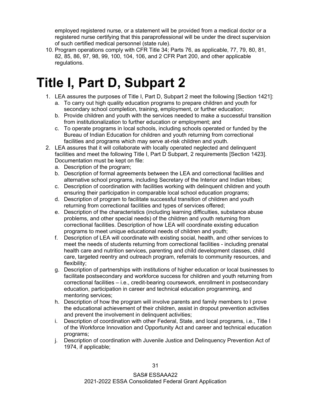employed registered nurse, or a statement will be provided from a medical doctor or a registered nurse certifying that this paraprofessional will be under the direct supervision of such certified medical personnel (state rule).

10. Program operations comply with CFR Title 34; Parts 76, as applicable, 77, 79, 80, 81, 82, 85, 86, 97, 98, 99, 100, 104, 106, and 2 CFR Part 200, and other applicable regulations.

### <span id="page-33-0"></span>**Title I, Part D, Subpart 2**

- 1. LEA assures the purposes of Title I, Part D, Subpart 2 meet the following [Section 1421]:
	- a. To carry out high quality education programs to prepare children and youth for secondary school completion, training, employment, or further education;
	- b. Provide children and youth with the services needed to make a successful transition from institutionalization to further education or employment; and
	- c. To operate programs in local schools, including schools operated or funded by the Bureau of Indian Education for children and youth returning from correctional facilities and programs which may serve at-risk children and youth.
- 2. LEA assures that it will collaborate with locally operated neglected and delinquent facilities and meet the following Title I, Part D Subpart, 2 requirements [Section 1423]. Documentation must be kept on file:
	- a. Description of the program;
	- b. Description of formal agreements between the LEA and correctional facilities and alternative school programs, including Secretary of the Interior and Indian tribes;
	- c. Description of coordination with facilities working with delinquent children and youth ensuring their participation in comparable local school education programs;
	- d. Description of program to facilitate successful transition of children and youth returning from correctional facilities and types of services offered;
	- e. Description of the characteristics (including learning difficulties, substance abuse problems, and other special needs) of the children and youth returning from correctional facilities. Description of how LEA will coordinate existing education programs to meet unique educational needs of children and youth;
	- f. Description of LEA will coordinate with existing social, health, and other services to meet the needs of students returning from correctional facilities - including prenatal health care and nutrition services, parenting and child development classes, child care, targeted reentry and outreach program, referrals to community resources, and flexibility;
	- g. Description of partnerships with institutions of higher education or local businesses to facilitate postsecondary and workforce success for children and youth returning from correctional facilities – i.e., credit-bearing coursework, enrollment in postsecondary education, participation in career and technical education programming, and mentoring services;
	- h. Description of how the program will involve parents and family members to I prove the educational achievement of their children, assist in dropout prevention activities and prevent the involvement in delinquent activities;
	- i. Description of coordination with other Federal, State, and local programs, i.e., Title I of the Workforce Innovation and Opportunity Act and career and technical education programs;
	- j. Description of coordination with Juvenile Justice and Delinquency Prevention Act of 1974, if applicable;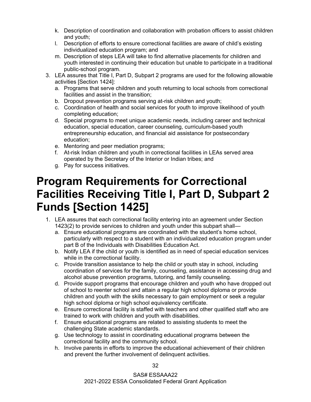- k. Description of coordination and collaboration with probation officers to assist children and youth;
- l. Description of efforts to ensure correctional facilities are aware of child's existing individualized education program; and
- m. Description of steps LEA will take to find alternative placements for children and youth interested in continuing their education but unable to participate in a traditional public-school program.
- 3. LEA assures that Title I, Part D, Subpart 2 programs are used for the following allowable activities [Section 1424]:
	- a. Programs that serve children and youth returning to local schools from correctional facilities and assist in the transition;
	- b. Dropout prevention programs serving at-risk children and youth;
	- c. Coordination of health and social services for youth to improve likelihood of youth completing education;
	- d. Special programs to meet unique academic needs, including career and technical education, special education, career counseling, curriculum-based youth entrepreneurship education, and financial aid assistance for postsecondary education;
	- e. Mentoring and peer mediation programs;
	- f. At-risk Indian children and youth in correctional facilities in LEAs served area operated by the Secretary of the Interior or Indian tribes; and
	- g. Pay for success initiatives.

#### <span id="page-34-0"></span>**Program Requirements for Correctional Facilities Receiving Title I, Part D, Subpart 2 Funds [Section 1425]**

- 1. LEA assures that each correctional facility entering into an agreement under Section 1423(2) to provide services to children and youth under this subpart shall
	- a. Ensure educational programs are coordinated with the student's home school, particularly with respect to a student with an individualized education program under part B of the Individuals with Disabilities Education Act.
	- b. Notify LEA if the child or youth is identified as in need of special education services while in the correctional facility.
	- c. Provide transition assistance to help the child or youth stay in school, including coordination of services for the family, counseling, assistance in accessing drug and alcohol abuse prevention programs, tutoring, and family counseling.
	- d. Provide support programs that encourage children and youth who have dropped out of school to reenter school and attain a regular high school diploma or provide children and youth with the skills necessary to gain employment or seek a regular high school diploma or high school equivalency certificate.
	- e. Ensure correctional facility is staffed with teachers and other qualified staff who are trained to work with children and youth with disabilities.
	- f. Ensure educational programs are related to assisting students to meet the challenging State academic standards.
	- g. Use technology to assist in coordinating educational programs between the correctional facility and the community school.
	- h. Involve parents in efforts to improve the educational achievement of their children and prevent the further involvement of delinquent activities.

32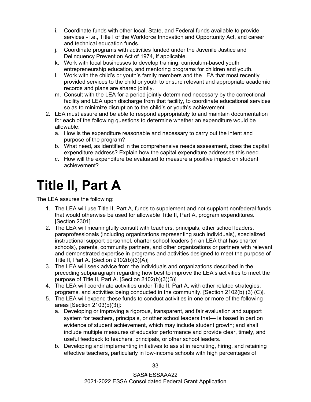- i. Coordinate funds with other local, State, and Federal funds available to provide services - i.e., Title I of the Workforce Innovation and Opportunity Act, and career and technical education funds.
- j. Coordinate programs with activities funded under the Juvenile Justice and Delinquency Prevention Act of 1974, if applicable.
- k. Work with local businesses to develop training, curriculum-based youth entrepreneurship education, and mentoring programs for children and youth.
- l. Work with the child's or youth's family members and the LEA that most recently provided services to the child or youth to ensure relevant and appropriate academic records and plans are shared jointly.
- m. Consult with the LEA for a period jointly determined necessary by the correctional facility and LEA upon discharge from that facility, to coordinate educational services so as to minimize disruption to the child's or youth's achievement.
- 2. LEA must assure and be able to respond appropriately to and maintain documentation for each of the following questions to determine whether an expenditure would be allowable:
	- a. How is the expenditure reasonable and necessary to carry out the intent and purpose of the program?
	- b. What need, as identified in the comprehensive needs assessment, does the capital expenditure address? Explain how the capital expenditure addresses this need.
	- c. How will the expenditure be evaluated to measure a positive impact on student achievement?

## <span id="page-35-0"></span>**Title II, Part A**

- 1. The LEA will use Title II, Part A, funds to supplement and not supplant nonfederal funds that would otherwise be used for allowable Title II, Part A, program expenditures. [Section 2301]
- 2. The LEA will meaningfully consult with teachers, principals, other school leaders, paraprofessionals (including organizations representing such individuals), specialized instructional support personnel, charter school leaders (in an LEA that has charter schools), parents, community partners, and other organizations or partners with relevant and demonstrated expertise in programs and activities designed to meet the purpose of Title II, Part A. [Section 2102(b)(3)(A)]
- 3. The LEA will seek advice from the individuals and organizations described in the preceding subparagraph regarding how best to improve the LEA's activities to meet the purpose of Title II, Part A. [Section 2102(b)(3)(B)]
- 4. The LEA will coordinate activities under Title II, Part A, with other related strategies, programs, and activities being conducted in the community. [Section 2102(b) (3) (C)].
- 5. The LEA will expend these funds to conduct activities in one or more of the following areas [Section 2103(b)(3)]:
	- a. Developing or improving a rigorous, transparent, and fair evaluation and support system for teachers, principals, or other school leaders that— is based in part on evidence of student achievement, which may include student growth; and shall include multiple measures of educator performance and provide clear, timely, and useful feedback to teachers, principals, or other school leaders.
	- b. Developing and implementing initiatives to assist in recruiting, hiring, and retaining effective teachers, particularly in low-income schools with high percentages of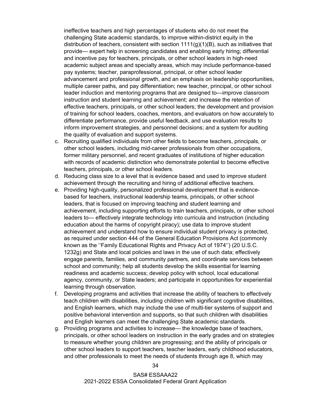ineffective teachers and high percentages of students who do not meet the challenging State academic standards, to improve within-district equity in the distribution of teachers, consistent with section  $1111(q)(1)(B)$ , such as initiatives that provide— expert help in screening candidates and enabling early hiring; differential and incentive pay for teachers, principals, or other school leaders in high-need academic subject areas and specialty areas, which may include performance-based pay systems; teacher, paraprofessional, principal, or other school leader advancement and professional growth, and an emphasis on leadership opportunities, multiple career paths, and pay differentiation; new teacher, principal, or other school leader induction and mentoring programs that are designed to—improve classroom instruction and student learning and achievement; and increase the retention of effective teachers, principals, or other school leaders; the development and provision of training for school leaders, coaches, mentors, and evaluators on how accurately to differentiate performance, provide useful feedback, and use evaluation results to inform improvement strategies, and personnel decisions; and a system for auditing the quality of evaluation and support systems.

- c. Recruiting qualified individuals from other fields to become teachers, principals, or other school leaders, including mid-career professionals from other occupations, former military personnel, and recent graduates of institutions of higher education with records of academic distinction who demonstrate potential to become effective teachers, principals, or other school leaders.
- d. Reducing class size to a level that is evidence based and used to improve student achievement through the recruiting and hiring of additional effective teachers.
- e. Providing high-quality, personalized professional development that is evidencebased for teachers, instructional leadership teams, principals, or other school leaders, that is focused on improving teaching and student learning and achievement, including supporting efforts to train teachers, principals, or other school leaders to— effectively integrate technology into curricula and instruction (including education about the harms of copyright piracy); use data to improve student achievement and understand how to ensure individual student privacy is protected, as required under section 444 of the General Education Provisions Act (commonly known as the ''Family Educational Rights and Privacy Act of 1974'') (20 U.S.C. 1232g) and State and local policies and laws in the use of such data; effectively engage parents, families, and community partners, and coordinate services between school and community; help all students develop the skills essential for learning readiness and academic success; develop policy with school, local educational agency, community, or State leaders; and participate in opportunities for experiential learning through observation.
- f. Developing programs and activities that increase the ability of teachers to effectively teach children with disabilities, including children with significant cognitive disabilities, and English learners, which may include the use of multi-tier systems of support and positive behavioral intervention and supports, so that such children with disabilities and English learners can meet the challenging State academic standards.
- g. Providing programs and activities to increase— the knowledge base of teachers, principals, or other school leaders on instruction in the early grades and on strategies to measure whether young children are progressing; and the ability of principals or other school leaders to support teachers, teacher leaders, early childhood educators, and other professionals to meet the needs of students through age 8, which may

34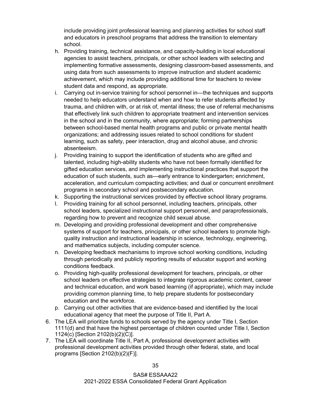include providing joint professional learning and planning activities for school staff and educators in preschool programs that address the transition to elementary school.

- h. Providing training, technical assistance, and capacity-building in local educational agencies to assist teachers, principals, or other school leaders with selecting and implementing formative assessments, designing classroom-based assessments, and using data from such assessments to improve instruction and student academic achievement, which may include providing additional time for teachers to review student data and respond, as appropriate.
- i. Carrying out in-service training for school personnel in—the techniques and supports needed to help educators understand when and how to refer students affected by trauma, and children with, or at risk of, mental illness; the use of referral mechanisms that effectively link such children to appropriate treatment and intervention services in the school and in the community, where appropriate; forming partnerships between school-based mental health programs and public or private mental health organizations; and addressing issues related to school conditions for student learning, such as safety, peer interaction, drug and alcohol abuse, and chronic absenteeism.
- j. Providing training to support the identification of students who are gifted and talented, including high-ability students who have not been formally identified for gifted education services, and implementing instructional practices that support the education of such students, such as—early entrance to kindergarten; enrichment, acceleration, and curriculum compacting activities; and dual or concurrent enrollment programs in secondary school and postsecondary education.
- k. Supporting the instructional services provided by effective school library programs.
- l. Providing training for all school personnel, including teachers, principals, other school leaders, specialized instructional support personnel, and paraprofessionals, regarding how to prevent and recognize child sexual abuse.
- m. Developing and providing professional development and other comprehensive systems of support for teachers, principals, or other school leaders to promote highquality instruction and instructional leadership in science, technology, engineering, and mathematics subjects, including computer science.
- n. Developing feedback mechanisms to improve school working conditions, including through periodically and publicly reporting results of educator support and working conditions feedback.
- o. Providing high-quality professional development for teachers, principals, or other school leaders on effective strategies to integrate rigorous academic content, career and technical education, and work based learning (if appropriate), which may include providing common planning time, to help prepare students for postsecondary education and the workforce.
- p. Carrying out other activities that are evidence-based and identified by the local educational agency that meet the purpose of Title II, Part A.
- 6. The LEA will prioritize funds to schools served by the agency under Title I, Section 1111(d) and that have the highest percentage of children counted under Title I, Section 1124(c) [Section 2102(b)(2)(C)].
- 7. The LEA will coordinate Title II, Part A, professional development activities with professional development activities provided through other federal, state, and local programs [Section 2102(b)(2)(F)].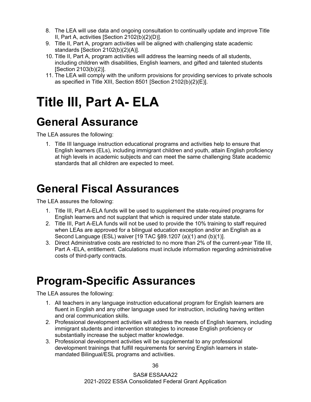- 8. The LEA will use data and ongoing consultation to continually update and improve Title II, Part A, activities [Section 2102(b)(2)(D)].
- 9. Title II, Part A, program activities will be aligned with challenging state academic standards [Section 2102(b)(2)(A)].
- 10. Title II, Part A, program activities will address the learning needs of all students, including children with disabilities, English learners, and gifted and talented students [Section 2103(b)(2)].
- 11. The LEA will comply with the uniform provisions for providing services to private schools as specified in Title XIII, Section 8501 [Section 2102(b)(2)(E)].

# <span id="page-38-0"></span>**Title III, Part A- ELA**

#### <span id="page-38-1"></span>**General Assurance**

The LEA assures the following:

1. Title III language instruction educational programs and activities help to ensure that English learners (ELs), including immigrant children and youth, attain English proficiency at high levels in academic subjects and can meet the same challenging State academic standards that all children are expected to meet.

#### <span id="page-38-2"></span>**General Fiscal Assurances**

The LEA assures the following:

- 1. Title III, Part A-ELA funds will be used to supplement the state-required programs for English learners and not supplant that which is required under state statute.
- 2. Title III, Part A-ELA funds will not be used to provide the 10% training to staff required when LEAs are approved for a bilingual education exception and/or an English as a Second Language (ESL) waiver [19 TAC §89.1207 (a)(1) and (b)(1)].
- 3. Direct Administrative costs are restricted to no more than 2% of the current-year Title III, Part A -ELA, entitlement. Calculations must include information regarding administrative costs of third-party contracts.

#### <span id="page-38-3"></span>**Program-Specific Assurances**

- 1. All teachers in any language instruction educational program for English learners are fluent in English and any other language used for instruction, including having written and oral communication skills.
- 2. Professional development activities will address the needs of English learners, including immigrant students and intervention strategies to increase English proficiency or substantially increase the subject matter knowledge.
- 3. Professional development activities will be supplemental to any professional development trainings that fulfill requirements for serving English learners in statemandated Bilingual/ESL programs and activities.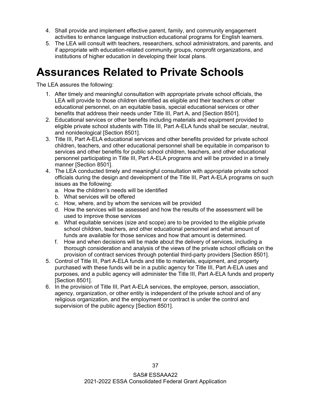- 4. Shall provide and implement effective parent, family, and community engagement activities to enhance language instruction educational programs for English learners.
- 5. The LEA will consult with teachers, researchers, school administrators, and parents, and if appropriate with education-related community groups, nonprofit organizations, and institutions of higher education in developing their local plans.

#### <span id="page-39-0"></span>**Assurances Related to Private Schools**

- 1. After timely and meaningful consultation with appropriate private school officials, the LEA will provide to those children identified as eligible and their teachers or other educational personnel, on an equitable basis, special educational services or other benefits that address their needs under Title III, Part A, and [Section 8501].
- 2. Educational services or other benefits including materials and equipment provided to eligible private school students with Title III, Part A-ELA funds shall be secular, neutral, and nonideological [Section 8501].
- 3. Title III, Part A-ELA educational services and other benefits provided for private school children, teachers, and other educational personnel shall be equitable in comparison to services and other benefits for public school children, teachers, and other educational personnel participating in Title III, Part A-ELA programs and will be provided in a timely manner [Section 8501].
- 4. The LEA conducted timely and meaningful consultation with appropriate private school officials during the design and development of the Title III, Part A-ELA programs on such issues as the following:
	- a. How the children's needs will be identified
	- b. What services will be offered
	- c. How, where, and by whom the services will be provided
	- d. How the services will be assessed and how the results of the assessment will be used to improve those services
	- e. What equitable services (size and scope) are to be provided to the eligible private school children, teachers, and other educational personnel and what amount of funds are available for those services and how that amount is determined.
	- f. How and when decisions will be made about the delivery of services, including a thorough consideration and analysis of the views of the private school officials on the provision of contract services through potential third-party providers [Section 8501].
- 5. Control of Title III, Part A-ELA funds and title to materials, equipment, and property purchased with these funds will be in a public agency for Title III, Part A-ELA uses and purposes, and a public agency will administer the Title III, Part A-ELA funds and property [Section 8501].
- 6. In the provision of Title III, Part A-ELA services, the employee, person, association, agency, organization, or other entity is independent of the private school and of any religious organization, and the employment or contract is under the control and supervision of the public agency [Section 8501].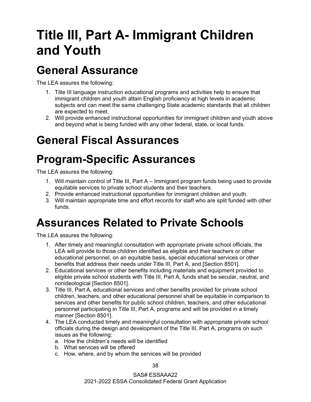# <span id="page-40-0"></span>**Title III, Part A- Immigrant Children and Youth**

#### <span id="page-40-1"></span>**General Assurance**

The LEA assures the following:

- 1. Title III language instruction educational programs and activities help to ensure that immigrant children and youth attain English proficiency at high levels in academic subjects and can meet the same challenging State academic standards that all children are expected to meet.
- 2. Will provide enhanced instructional opportunities for immigrant children and youth above and beyond what is being funded with any other federal, state, or local funds.

#### <span id="page-40-2"></span>**General Fiscal Assurances**

#### <span id="page-40-3"></span>**Program-Specific Assurances**

The LEA assures the following:

- 1. Will maintain control of Title III, Part A Immigrant program funds being used to provide equitable services to private school students and their teachers.
- 2. Provide enhanced instructional opportunities for immigrant children and youth.
- 3. Will maintain appropriate time and effort records for staff who are split funded with other funds.

#### <span id="page-40-4"></span>**Assurances Related to Private Schools**

The LEA assures the following:

- 1. After timely and meaningful consultation with appropriate private school officials, the LEA will provide to those children identified as eligible and their teachers or other educational personnel, on an equitable basis, special educational services or other benefits that address their needs under Title III, Part A, and [Section 8501].
- 2. Educational services or other benefits including materials and equipment provided to eligible private school students with Title III, Part A, funds shall be secular, neutral, and nonideological [Section 8501].
- 3. Title III, Part A, educational services and other benefits provided for private school children, teachers, and other educational personnel shall be equitable in comparison to services and other benefits for public school children, teachers, and other educational personnel participating in Title III, Part A, programs and will be provided in a timely manner [Section 8501].
- 4. The LEA conducted timely and meaningful consultation with appropriate private school officials during the design and development of the Title III, Part A, programs on such issues as the following:
	- a. How the children's needs will be identified
	- b. What services will be offered
	- c. How, where, and by whom the services will be provided

38

SAS# ESSAAA22 2021-2022 ESSA Consolidated Federal Grant Application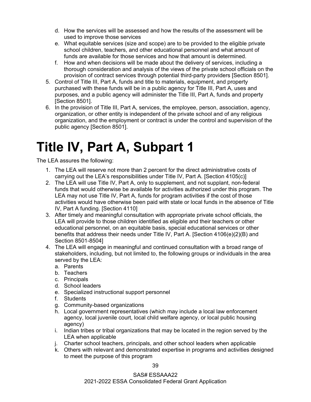- d. How the services will be assessed and how the results of the assessment will be used to improve those services
- e. What equitable services (size and scope) are to be provided to the eligible private school children, teachers, and other educational personnel and what amount of funds are available for those services and how that amount is determined.
- f. How and when decisions will be made about the delivery of services, including a thorough consideration and analysis of the views of the private school officials on the provision of contract services through potential third-party providers [Section 8501].
- 5. Control of Title III, Part A, funds and title to materials, equipment, and property purchased with these funds will be in a public agency for Title III, Part A, uses and purposes, and a public agency will administer the Title III, Part A, funds and property [Section 8501].
- 6. In the provision of Title III, Part A, services, the employee, person, association, agency, organization, or other entity is independent of the private school and of any religious organization, and the employment or contract is under the control and supervision of the public agency [Section 8501].

### <span id="page-41-0"></span>**Title IV, Part A, Subpart 1**

- 1. The LEA will reserve not more than 2 percent for the direct administrative costs of carrying out the LEA's responsibilities under Title IV, Part A. [Section 4105(c)]
- 2. The LEA will use Title IV, Part A, only to supplement, and not supplant, non-federal funds that would otherwise be available for activities authorized under this program. The LEA may not use Title IV, Part A, funds for program activities if the cost of those activities would have otherwise been paid with state or local funds in the absence of Title IV, Part A funding. [Section 4110]
- 3. After timely and meaningful consultation with appropriate private school officials, the LEA will provide to those children identified as eligible and their teachers or other educational personnel, on an equitable basis, special educational services or other benefits that address their needs under Title IV, Part A. [Section 4106(e)(2)(B) and Section 8501-8504]
- 4. The LEA will engage in meaningful and continued consultation with a broad range of stakeholders, including, but not limited to, the following groups or individuals in the area served by the LEA:
	- a. Parents
	- b. Teachers
	- c. Principals
	- d. School leaders
	- e. Specialized instructional support personnel
	- f. Students
	- g. Community-based organizations
	- h. Local government representatives (which may include a local law enforcement agency, local juvenile court, local child welfare agency, or local public housing agency)
	- i. Indian tribes or tribal organizations that may be located in the region served by the LEA when applicable
	- j. Charter school teachers, principals, and other school leaders when applicable
	- k. Others with relevant and demonstrated expertise in programs and activities designed to meet the purpose of this program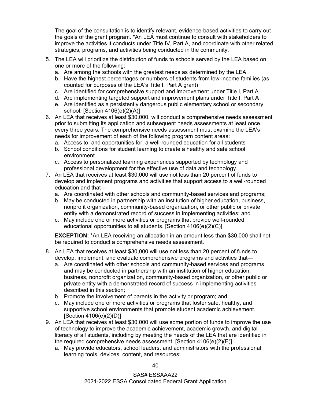The goal of the consultation is to identify relevant, evidence-based activities to carry out the goals of the grant program. \*An LEA must continue to consult with stakeholders to improve the activities it conducts under Title IV, Part A, and coordinate with other related strategies, programs, and activities being conducted in the community.

- 5. The LEA will prioritize the distribution of funds to schools served by the LEA based on one or more of the following:
	- a. Are among the schools with the greatest needs as determined by the LEA
	- b. Have the highest percentages or numbers of students from low-income families (as counted for purposes of the LEA's Title I, Part A grant)
	- c. Are identified for comprehensive support and improvement under Title I, Part A
	- d. Are implementing targeted support and improvement plans under Title I, Part A
	- e. Are identified as a persistently dangerous public elementary school or secondary school. [Section 4106(e)(2)(A)]
- 6. An LEA that receives at least \$30,000, will conduct a comprehensive needs assessment prior to submitting its application and subsequent needs assessments at least once every three years. The comprehensive needs assessment must examine the LEA's needs for improvement of each of the following program content areas:
	- a. Access to, and opportunities for, a well-rounded education for all students
	- b. School conditions for student learning to create a healthy and safe school environment
	- c. Access to personalized learning experiences supported by technology and professional development for the effective use of data and technology.
- 7. An LEA that receives at least \$30,000 will use not less than 20 percent of funds to develop and implement programs and activities that support access to a well-rounded education and that
	- a. Are coordinated with other schools and community-based services and programs;
	- b. May be conducted in partnership with an institution of higher education, business, nonprofit organization, community-based organization, or other public or private entity with a demonstrated record of success in implementing activities; and
	- c. May include one or more activities or programs that provide well-rounded educational opportunities to all students. [Section 4106(e)(2)(C)]

**EXCEPTION:** \*An LEA receiving an allocation in an amount less than \$30,000 shall not be required to conduct a comprehensive needs assessment.

- 8. An LEA that receives at least \$30,000 will use not less than 20 percent of funds to develop, implement, and evaluate comprehensive programs and activities that
	- a. Are coordinated with other schools and community-based services and programs and may be conducted in partnership with an institution of higher education, business, nonprofit organization, community-based organization, or other public or private entity with a demonstrated record of success in implementing activities described in this section;
	- b. Promote the involvement of parents in the activity or program; and
	- c. May include one or more activities or programs that foster safe, healthy, and supportive school environments that promote student academic achievement. [Section 4106(e)(2)(D)]
- 9. An LEA that receives at least \$30,000 will use some portion of funds to improve the use of technology to improve the academic achievement, academic growth, and digital literacy of all students, including by meeting the needs of the LEA that are identified in the required comprehensive needs assessment. [Section 4106(e)(2)(E)]
	- a. May provide educators, school leaders, and administrators with the professional learning tools, devices, content, and resources;

40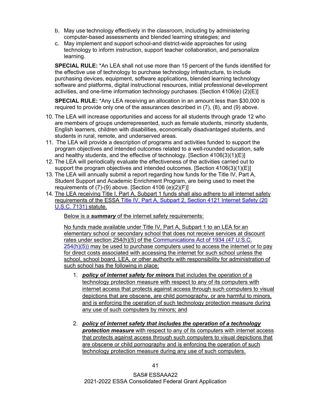- b. May use technology effectively in the classroom, including by administering computer-based assessments and blended learning strategies; and
- c. May implement and support school-and district-wide approaches for using technology to inform instruction, support teacher collaboration, and personalize learning.

**SPECIAL RULE:** \*An LEA shall not use more than 15 percent of the funds identified for the effective use of technology to purchase technology infrastructure, to include purchasing devices, equipment, software applications, blended learning technology software and platforms, digital instructional resources, initial professional development activities, and one-time information technology purchases. [Section 4106(e) (2)(E)]

**SPECIAL RULE:** \*Any LEA receiving an allocation in an amount less than \$30,000 is required to provide only one of the assurances described in (7), (8), and (9) above.

- 10. The LEA will increase opportunities and access for all students through grade 12 who are members of groups underrepresented, such as female students, minority students, English learners, children with disabilities, economically disadvantaged students, and students in rural, remote, and underserved areas.
- 11. The LEA will provide a description of programs and activities funded to support the program objectives and intended outcomes related to a well-rounded education, safe and healthy students, and the effective of technology. [Section 4106(3)(1)(E)]
- 12. The LEA will periodically evaluate the effectiveness of the activities carried out to support the program objectives and intended outcomes. [Section  $4106(3)(1)(E)$ ]
- 13. The LEA will annually submit a report regarding how funds for the Title IV, Part A, Student Support and Academic Enrichment Program, are being used to meet the requirements of (7)-(9) above. [Section 4106 (e)(2)(F)]
- 14. The LEA receiving Title I, Part A, Subpart 1 funds shall also adhere to all internet safety requirements of the ESSA [Title IV, Part A, Subpart 2, Section 4121 Internet Safety \(20](https://nam10.safelinks.protection.outlook.com/?url=https%3A%2F%2Fwww2.ed.gov%2Fpolicy%2Felsec%2Fleg%2Fessa%2Flegislation%2Ftitle-iv.html&data=04%7C01%7CLaNetra.Guess%40tea.texas.gov%7C52d0472d36f5409dbc3208d8f3eb9ed9%7C65d6b3c3723648189613248dbd713a6f%7C0%7C0%7C637527540596171855%7CUnknown%7CTWFpbGZsb3d8eyJWIjoiMC4wLjAwMDAiLCJQIjoiV2luMzIiLCJBTiI6Ik1haWwiLCJXVCI6Mn0%3D%7C1000&sdata=I0mncAOjHfbl4RwjoQEneXNe%2BE9zscvdOdmqXZWYJVU%3D&reserved=0)  [U.S.C. 7131\)](https://nam10.safelinks.protection.outlook.com/?url=https%3A%2F%2Fwww2.ed.gov%2Fpolicy%2Felsec%2Fleg%2Fessa%2Flegislation%2Ftitle-iv.html&data=04%7C01%7CLaNetra.Guess%40tea.texas.gov%7C52d0472d36f5409dbc3208d8f3eb9ed9%7C65d6b3c3723648189613248dbd713a6f%7C0%7C0%7C637527540596171855%7CUnknown%7CTWFpbGZsb3d8eyJWIjoiMC4wLjAwMDAiLCJQIjoiV2luMzIiLCJBTiI6Ik1haWwiLCJXVCI6Mn0%3D%7C1000&sdata=I0mncAOjHfbl4RwjoQEneXNe%2BE9zscvdOdmqXZWYJVU%3D&reserved=0) statute.

Below is a *summary* of the internet safety requirements:

No funds made available under Title IV, Part A, Subpart 1 to an LEA for an elementary school or secondary school that does not receive services at discount rates under section 254(h)(5) of the [Communications Act of 1934 \(47 U.S.C.](https://www.govinfo.gov/content/pkg/USCODE-2009-title47/html/USCODE-2009-title47-chap5.htm)  [254\(h\)\(5\)\)](https://www.govinfo.gov/content/pkg/USCODE-2009-title47/html/USCODE-2009-title47-chap5.htm) may be used to purchase computers used to access the internet or to pay for direct costs associated with accessing the internet for such school unless the school, school board, LEA, or other authority with responsibility for administration of such school has the following in place:

- 1. *policy of internet safety for minors* that includes the operation of a technology protection measure with respect to any of its computers with internet access that protects against access through such computers to visual depictions that are obscene, are child pornography, or are harmful to minors, and is enforcing the operation of such technology protection measure during any use of such computers by minors; and
- 2. *policy of internet safety that includes the operation of a technology protection measure* with respect to any of its computers with internet access that protects against access through such computers to visual depictions that are obscene or child pornography and is enforcing the operation of such technology protection measure during any use of such computers.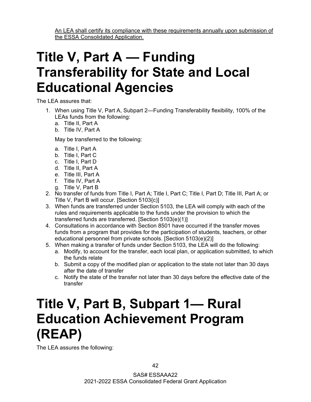An LEA shall certify its compliance with these requirements annually upon submission of the ESSA Consolidated Application.

# <span id="page-44-0"></span>**Title V, Part A — Funding Transferability for State and Local Educational Agencies**

The LEA assures that:

- 1. When using Title V, Part A, Subpart 2—Funding Transferability flexibility, 100% of the LEAs funds from the following:
	- a. Title II, Part A
	- b. Title IV, Part A

May be transferred to the following:

- a. Title I, Part A
- b. Title I, Part C
- c. Title I, Part D
- d. Title II, Part A
- e. Title III, Part A
- f. Title IV, Part A
- g. Title V, Part B
- 2. No transfer of funds from Title I, Part A; Title I, Part C; Title I, Part D; Title III, Part A; or Title V, Part B will occur. [Section 5103{c)]
- 3. When funds are transferred under Section 5103, the LEA will comply with each of the rules and requirements applicable to the funds under the provision to which the transferred funds are transferred. [Section 5103(e)(1)]
- 4. Consultations in accordance with Section 8501 have occurred if the transfer moves funds from a program that provides for the participation of students, teachers, or other educational personnel from private schools. [Section 5103(e)(2)]
- 5. When making a transfer of funds under Section 5103, the LEA will do the following:
	- a. Modify, to account for the transfer, each local plan, or application submitted, to which the funds relate
	- b. Submit a copy of the modified plan or application to the state not later than 30 days after the date of transfer
	- c. Notify the state of the transfer not later than 30 days before the effective date of the transfer

# <span id="page-44-1"></span>**Title V, Part B, Subpart 1— Rural Education Achievement Program (REAP)**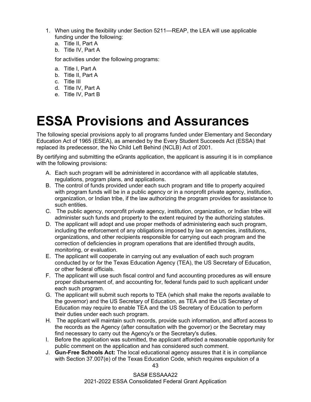- 1. When using the flexibility under Section 5211—REAP, the LEA will use applicable funding under the following:
	- a. Title II, Part A
	- b. Title IV, Part A

for activities under the following programs:

- a. Title I, Part A
- b. Title II, Part A
- c. Title III
- d. Title IV, Part A
- e. Title IV, Part B

### <span id="page-45-0"></span>**ESSA Provisions and Assurances**

The following special provisions apply to all programs funded under Elementary and Secondary Education Act of 1965 (ESEA), as amended by the Every Student Succeeds Act (ESSA) that replaced its predecessor, the No Child Left Behind (NCLB) Act of 2001.

By certifying and submitting the eGrants application, the applicant is assuring it is in compliance with the following provisions:

- A. Each such program will be administered in accordance with all applicable statutes, regulations, program plans, and applications.
- B. The control of funds provided under each such program and title to property acquired with program funds will be in a public agency or in a nonprofit private agency, institution, organization, or Indian tribe, if the law authorizing the program provides for assistance to such entities.
- C. The public agency, nonprofit private agency, institution, organization, or Indian tribe will administer such funds and property to the extent required by the authorizing statutes.
- D. The applicant will adopt and use proper methods of administering each such program, including the enforcement of any obligations imposed by law on agencies, institutions, organizations, and other recipients responsible for carrying out each program and the correction of deficiencies in program operations that are identified through audits, monitoring, or evaluation.
- E. The applicant will cooperate in carrying out any evaluation of each such program conducted by or for the Texas Education Agency (TEA), the US Secretary of Education, or other federal officials.
- F. The applicant will use such fiscal control and fund accounting procedures as will ensure proper disbursement of, and accounting for, federal funds paid to such applicant under each such program.
- G. The applicant will submit such reports to TEA (which shall make the reports available to the governor) and the US Secretary of Education, as TEA and the US Secretary of Education may require to enable TEA and the US Secretary of Education to perform their duties under each such program.
- H. The applicant will maintain such records, provide such information, and afford access to the records as the Agency (after consultation with the governor) or the Secretary may find necessary to carry out the Agency's or the Secretary's duties.
- I. Before the application was submitted, the applicant afforded a reasonable opportunity for public comment on the application and has considered such comment.
- J. **Gun-Free Schools Act:** The local educational agency assures that it is in compliance with Section 37.007(e) of the Texas Education Code, which requires expulsion of a

43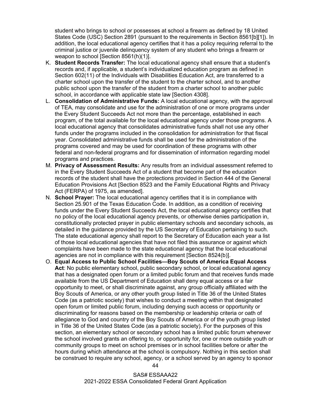student who brings to school or possesses at school a firearm as defined by 18 United States Code (USC) Section 2891 (pursuant to the requirements in Section 8561[b][1]). In addition, the local educational agency certifies that it has a policy requiring referral to the criminal justice or juvenile delinquency system of any student who brings a firearm or weapon to school [Section 8561(h)(1)].

- K. **Student Records Transfer:** The local educational agency shall ensure that a student's records and, if applicable, a student's individualized education program as defined in Section 602(11) of the Individuals with Disabilities Education Act, are transferred to a charter school upon the transfer of the student to the charter school, and to another public school upon the transfer of the student from a charter school to another public school, in accordance with applicable state law [Section 4308].
- L. **Consolidation of Administrative Funds:** A local educational agency, with the approval of TEA, may consolidate and use for the administration of one or more programs under the Every Student Succeeds Act not more than the percentage, established in each program, of the total available for the local educational agency under those programs. A local educational agency that consolidates administrative funds shall not use any other funds under the programs included in the consolidation for administration for that fiscal year. Consolidated administrative funds shall be used for the administration of the programs covered and may be used for coordination of these programs with other federal and non-federal programs and for dissemination of information regarding model programs and practices.
- M. **Privacy of Assessment Results:** Any results from an individual assessment referred to in the Every Student Succeeds Act of a student that become part of the education records of the student shall have the protections provided in Section 444 of the General Education Provisions Act [Section 8523 and the Family Educational Rights and Privacy Act (FERPA) of 1975, as amended].
- N. **School Prayer:** The local educational agency certifies that it is in compliance with Section 25.901 of the Texas Education Code. In addition, as a condition of receiving funds under the Every Student Succeeds Act, the local educational agency certifies that no policy of the local educational agency prevents, or otherwise denies participation in, constitutionally protected prayer in public elementary schools and secondary schools, as detailed in the guidance provided by the US Secretary of Education pertaining to such. The state educational agency shall report to the Secretary of Education each year a list of those local educational agencies that have not filed this assurance or against which complaints have been made to the state educational agency that the local educational agencies are not in compliance with this requirement [Section 8524(b)].
- O. **Equal Access to Public School Facilities—Boy Scouts of America Equal Access**  Act: No public elementary school, public secondary school, or local educational agency that has a designated open forum or a limited public forum and that receives funds made available from the US Department of Education shall deny equal access or a fair opportunity to meet, or shall discriminate against, any group officially affiliated with the Boy Scouts of America, or any other youth group listed in Title 36 of the United States Code (as a patriotic society) that wishes to conduct a meeting within that designated open forum or limited public forum, including denying such access or opportunity or discriminating for reasons based on the membership or leadership criteria or oath of allegiance to God and country of the Boy Scouts of America or of the youth group listed in Title 36 of the United States Code (as a patriotic society). For the purposes of this section, an elementary school or secondary school has a limited public forum whenever the school involved grants an offering to, or opportunity for, one or more outside youth or community groups to meet on school premises or in school facilities before or after the hours during which attendance at the school is compulsory. Nothing in this section shall be construed to require any school, agency, or a school served by an agency to sponsor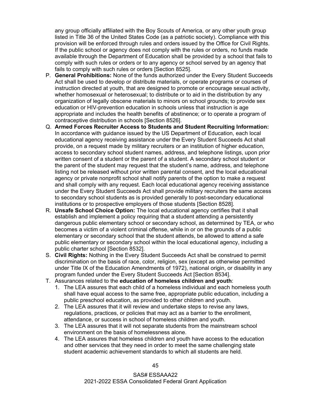any group officially affiliated with the Boy Scouts of America, or any other youth group listed in Title 36 of the United States Code (as a patriotic society). Compliance with this provision will be enforced through rules and orders issued by the Office for Civil Rights. If the public school or agency does not comply with the rules or orders, no funds made available through the Department of Education shall be provided by a school that fails to comply with such rules or orders or to any agency or school served by an agency that fails to comply with such rules or orders [Section 8525].

- P. **General Prohibitions:** None of the funds authorized under the Every Student Succeeds Act shall be used to develop or distribute materials, or operate programs or courses of instruction directed at youth, that are designed to promote or encourage sexual activity, whether homosexual or heterosexual; to distribute or to aid in the distribution by any organization of legally obscene materials to minors on school grounds; to provide sex education or HIV-prevention education in schools unless that instruction is age appropriate and includes the health benefits of abstinence; or to operate a program of contraceptive distribution in schools [Section 8526].
- Q. **Armed Forces Recruiter Access to Students and Student Recruiting Information:** In accordance with guidance issued by the US Department of Education, each local educational agency receiving assistance under the Every Student Succeeds Act shall provide, on a request made by military recruiters or an institution of higher education, access to secondary school student names, address, and telephone listings, upon prior written consent of a student or the parent of a student. A secondary school student or the parent of the student may request that the student's name, address, and telephone listing not be released without prior written parental consent, and the local educational agency or private nonprofit school shall notify parents of the option to make a request and shall comply with any request. Each local educational agency receiving assistance under the Every Student Succeeds Act shall provide military recruiters the same access to secondary school students as is provided generally to post-secondary educational institutions or to prospective employers of those students [Section 8528].
- R. **Unsafe School Choice Option:** The local educational agency certifies that it shall establish and implement a policy requiring that a student attending a persistently dangerous public elementary school or secondary school, as determined by TEA, or who becomes a victim of a violent criminal offense, while in or on the grounds of a public elementary or secondary school that the student attends, be allowed to attend a safe public elementary or secondary school within the local educational agency, including a public charter school [Section 8532].
- S. **Civil Rights:** Nothing in the Every Student Succeeds Act shall be construed to permit discrimination on the basis of race, color, religion, sex (except as otherwise permitted under Title IX of the Education Amendments of 1972), national origin, or disability in any program funded under the Every Student Succeeds Act [Section 8534].
- T. Assurances related to the **education of homeless children and youth**:
	- 1. The LEA assures that each child of a homeless individual and each homeless youth shall have equal access to the same free, appropriate public education, including a public preschool education, as provided to other children and youth.
	- 2. The LEA assures that it will review and undertake steps to revise any laws, regulations, practices, or policies that may act as a barrier to the enrollment, attendance, or success in school of homeless children and youth.
	- 3. The LEA assures that it will not separate students from the mainstream school environment on the basis of homelessness alone.
	- 4. The LEA assures that homeless children and youth have access to the education and other services that they need in order to meet the same challenging state student academic achievement standards to which all students are held.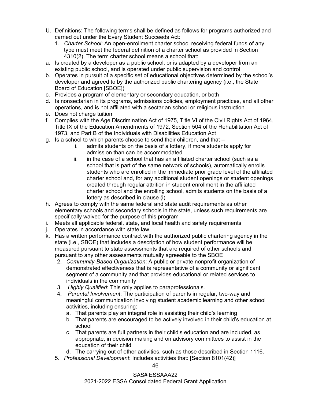- U. Definitions: The following terms shall be defined as follows for programs authorized and carried out under the Every Student Succeeds Act:
	- 1. *Charter School*: An open-enrollment charter school receiving federal funds of any type must meet the federal definition of a charter school as provided in Section 4310(2). The term charter school means a school that:
- a. Is created by a developer as a public school, or is adapted by a developer from an existing public school, and is operated under public supervision and control
- b. Operates in pursuit of a specific set of educational objectives determined by the school's developer and agreed to by the authorized public chartering agency (i.e., the State Board of Education [SBOE])
- c. Provides a program of elementary or secondary education, or both
- d. Is nonsectarian in its programs, admissions policies, employment practices, and all other operations, and is not affiliated with a sectarian school or religious instruction
- e. Does not charge tuition
- f. Complies with the Age Discrimination Act of 1975, Title VI of the Civil Rights Act of 1964, Title IX of the Education Amendments of 1972, Section 504 of the Rehabilitation Act of 1973, and Part B of the Individuals with Disabilities Education Act
- g. Is a school to which parents choose to send their children, and that
	- i. admits students on the basis of a lottery, if more students apply for admission than can be accommodated
	- ii. in the case of a school that has an affiliated charter school (such as a school that is part of the same network of schools), automatically enrolls students who are enrolled in the immediate prior grade level of the affiliated charter school and, for any additional student openings or student openings created through regular attrition in student enrollment in the affiliated charter school and the enrolling school, admits students on the basis of a lottery as described in clause (i)
- h. Agrees to comply with the same federal and state audit requirements as other elementary schools and secondary schools in the state, unless such requirements are specifically waived for the purpose of this program
- i. Meets all applicable federal, state, and local health and safety requirements
- j. Operates in accordance with state law
- k. Has a written performance contract with the authorized public chartering agency in the state (i.e., SBOE) that includes a description of how student performance will be measured pursuant to state assessments that are required of other schools and pursuant to any other assessments mutually agreeable to the SBOE
	- 2. *Community-Based Organization*: A public or private nonprofit organization of demonstrated effectiveness that is representative of a community or significant segment of a community and that provides educational or related services to individuals in the community
	- 3. *Highly Qualified*: This only applies to paraprofessionals.
	- 4. *Parental Involvement*: The participation of parents in regular, two-way and meaningful communication involving student academic learning and other school activities, including ensuring:
		- a. That parents play an integral role in assisting their child's learning
		- b. That parents are encouraged to be actively involved in their child's education at school
		- c. That parents are full partners in their child's education and are included, as appropriate, in decision making and on advisory committees to assist in the education of their child
	- d. The carrying out of other activities, such as those described in Section 1116.
	- 5. *Professional Development*: Includes activities that: [Section 8101(42)]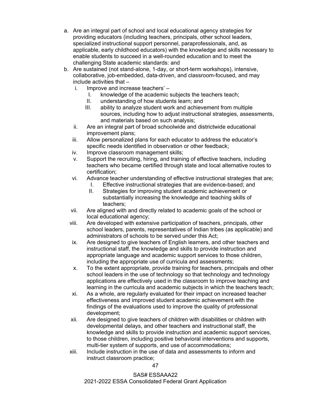- a. Are an integral part of school and local educational agency strategies for providing educators (including teachers, principals, other school leaders, specialized instructional support personnel, paraprofessionals, and, as applicable, early childhood educators) with the knowledge and skills necessary to enable students to succeed in a well-rounded education and to meet the challenging State academic standards: and
- b. Are sustained (not stand-alone, 1-day, or short-term workshops), intensive, collaborative, job-embedded, data-driven, and classroom-focused, and may include activities that –
	- i. Improve and increase teachers'
		- I. knowledge of the academic subjects the teachers teach;
		- II. understanding of how students learn; and
		- III. ability to analyze student work and achievement from multiple sources, including how to adjust instructional strategies, assessments, and materials based on such analysis;
	- ii. Are an integral part of broad schoolwide and districtwide educational improvement plans;
	- iii. Allow personalized plans for each educator to address the educator's specific needs identified in observation or other feedback;
	- iv. Improve classroom management skills;
	- v. Support the recruiting, hiring, and training of effective teachers, including teachers who became certified through state and local alternative routes to certification;
	- vi. Advance teacher understanding of effective instructional strategies that are;
		- I. Effective instructional strategies that are evidence-based; and
		- II. Strategies for improving student academic achievement or substantially increasing the knowledge and teaching skills of teachers;
	- vii. Are aligned with and directly related to academic goals of the school or local educational agency;
	- viii. Are developed with extensive participation of teachers, principals, other school leaders, parents, representatives of Indian tribes (as applicable) and administrators of schools to be served under this Act;
	- ix. Are designed to give teachers of English learners, and other teachers and instructional staff, the knowledge and skills to provide instruction and appropriate language and academic support services to those children, including the appropriate use of curricula and assessments;
	- x. To the extent appropriate, provide training for teachers, principals and other school leaders in the use of technology so that technology and technology applications are effectively used in the classroom to improve teaching and learning in the curricula and academic subjects in which the teachers teach;
	- xi. As a whole, are regularly evaluated for their impact on increased teacher effectiveness and improved student academic achievement with the findings of the evaluations used to improve the quality of professional development;
	- xii. Are designed to give teachers of children with disabilities or children with developmental delays, and other teachers and instructional staff, the knowledge and skills to provide instruction and academic support services, to those children, including positive behavioral interventions and supports, multi-tier system of supports, and use of accommodations;
	- xiii. Include instruction in the use of data and assessments to inform and instruct classroom practice;

47

SAS# ESSAAA22 2021-2022 ESSA Consolidated Federal Grant Application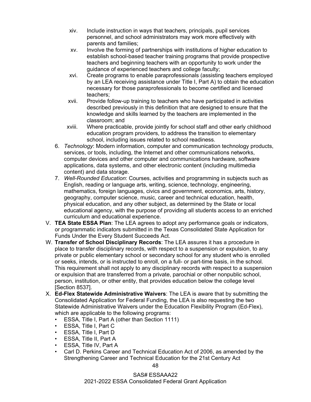- xiv. Include instruction in ways that teachers, principals, pupil services personnel, and school administrators may work more effectively with parents and families;
- xv. Involve the forming of partnerships with institutions of higher education to establish school-based teacher training programs that provide prospective teachers and beginning teachers with an opportunity to work under the guidance of experienced teachers and college faculty;
- xvi. Create programs to enable paraprofessionals (assisting teachers employed by an LEA receiving assistance under Title I, Part A) to obtain the education necessary for those paraprofessionals to become certified and licensed teachers;
- xvii. Provide follow-up training to teachers who have participated in activities described previously in this definition that are designed to ensure that the knowledge and skills learned by the teachers are implemented in the classroom; and
- xviii. Where practicable, provide jointly for school staff and other early childhood education program providers, to address the transition to elementary school, including issues related to school readiness.
- 6. *Technology*: Modern information, computer and communication technology products, services, or tools, including, the Internet and other communications networks, computer devices and other computer and communications hardware, software applications, data systems, and other electronic content (including multimedia content) and data storage.
- 7. *Well-Rounded Education*: Courses, activities and programming in subjects such as English, reading or language arts, writing, science, technology, engineering, mathematics, foreign languages, civics and government, economics, arts, history, geography, computer science, music, career and technical education, health, physical education, and any other subject, as determined by the State or local educational agency, with the purpose of providing all students access to an enriched curriculum and educational experience.
- V. **TEA State ESSA Plan**: The LEA agrees to adopt any performance goals or indicators, or programmatic indicators submitted in the Texas Consolidated State Application for Funds Under the Every Student Succeeds Act.
- W. **Transfer of School Disciplinary Records**: The LEA assures it has a procedure in place to transfer disciplinary records, with respect to a suspension or expulsion, to any private or public elementary school or secondary school for any student who is enrolled or seeks, intends, or is instructed to enroll, on a full- or part-time basis, in the school. This requirement shall not apply to any disciplinary records with respect to a suspension or expulsion that are transferred from a private, parochial or other nonpublic school, person, institution, or other entity, that provides education below the college level [Section 8537].
- X. **Ed-Flex Statewide Administrative Waivers**: The LEA is aware that by submitting the Consolidated Application for Federal Funding, the LEA is also requesting the two Statewide Administrative Waivers under the Education Flexibility Program (Ed-Flex), which are applicable to the following programs:
	- ESSA, Title I, Part A (other than Section 1111)
	- ESSA, Title I, Part C
	- ESSA, Title I, Part D
	- ESSA, Title II, Part A
	- ESSA, Title IV, Part A
	- Carl D. Perkins Career and Technical Education Act of 2006, as amended by the Strengthening Career and Technical Education for the 21st Century Act

SAS# ESSAAA22 2021-2022 ESSA Consolidated Federal Grant Application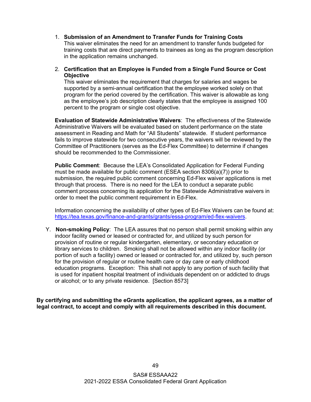- 1. **Submission of an Amendment to Transfer Funds for Training Costs** This waiver eliminates the need for an amendment to transfer funds budgeted for training costs that are direct payments to trainees as long as the program description in the application remains unchanged.
- 2. **Certification that an Employee is Funded from a Single Fund Source or Cost Objective**

This waiver eliminates the requirement that charges for salaries and wages be supported by a semi-annual certification that the employee worked solely on that program for the period covered by the certification. This waiver is allowable as long as the employee's job description clearly states that the employee is assigned 100 percent to the program or single cost objective.

**Evaluation of Statewide Administrative Waivers**: The effectiveness of the Statewide Administrative Waivers will be evaluated based on student performance on the state assessment in Reading and Math for "All Students" statewide. If student performance fails to improve statewide for two consecutive years, the waivers will be reviewed by the Committee of Practitioners (serves as the Ed-Flex Committee) to determine if changes should be recommended to the Commissioner.

**Public Comment**: Because the LEA's Consolidated Application for Federal Funding must be made available for public comment (ESEA section 8306(a)(7)) prior to submission, the required public comment concerning Ed-Flex waiver applications is met through that process. There is no need for the LEA to conduct a separate public comment process concerning its application for the Statewide Administrative waivers in order to meet the public comment requirement in Ed-Flex.

Information concerning the availability of other types of Ed-Flex Waivers can be found at: [https://tea.texas.gov/finance-and-grants/grants/essa-program/ed-flex-waivers.](https://tea.texas.gov/finance-and-grants/grants/essa-program/ed-flex-waivers)

Y. **Non-smoking Policy**: The LEA assures that no person shall permit smoking within any indoor facility owned or leased or contracted for, and utilized by such person for provision of routine or regular kindergarten, elementary, or secondary education or library services to children. Smoking shall not be allowed within any indoor facility (or portion of such a facility) owned or leased or contracted for, and utilized by, such person for the provision of regular or routine health care or day care or early childhood education programs. Exception: This shall not apply to any portion of such facility that is used for inpatient hospital treatment of individuals dependent on or addicted to drugs or alcohol; or to any private residence. [Section 8573]

**By certifying and submitting the eGrants application, the applicant agrees, as a matter of legal contract, to accept and comply with all requirements described in this document.**